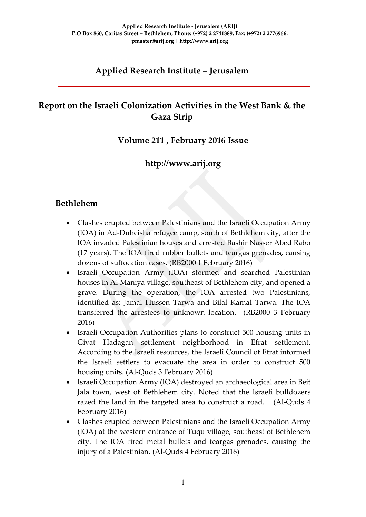## **Applied Research Institute – Jerusalem**

## **Report on the Israeli Colonization Activities in the West Bank & the Gaza Strip**

### **Volume 211 , February 2016 Issue**

### **http://www.arij.org**

### **Bethlehem**

- Clashes erupted between Palestinians and the Israeli Occupation Army (IOA) in Ad-Duheisha refugee camp, south of Bethlehem city, after the IOA invaded Palestinian houses and arrested Bashir Nasser Abed Rabo (17 years). The IOA fired rubber bullets and teargas grenades, causing dozens of suffocation cases. (RB2000 1 February 2016)
- Israeli Occupation Army (IOA) stormed and searched Palestinian houses in Al Maniya village, southeast of Bethlehem city, and opened a grave. During the operation, the IOA arrested two Palestinians, identified as: Jamal Hussen Tarwa and Bilal Kamal Tarwa. The IOA transferred the arrestees to unknown location. (RB2000 3 February 2016)
- Israeli Occupation Authorities plans to construct 500 housing units in Givat Hadagan settlement neighborhood in Efrat settlement. According to the Israeli resources, the Israeli Council of Efrat informed the Israeli settlers to evacuate the area in order to construct 500 housing units. (Al-Quds 3 February 2016)
- Israeli Occupation Army (IOA) destroyed an archaeological area in Beit Jala town, west of Bethlehem city. Noted that the Israeli bulldozers razed the land in the targeted area to construct a road. (Al-Quds 4 February 2016)
- Clashes erupted between Palestinians and the Israeli Occupation Army (IOA) at the western entrance of Tuqu village, southeast of Bethlehem city. The IOA fired metal bullets and teargas grenades, causing the injury of a Palestinian. (Al-Quds 4 February 2016)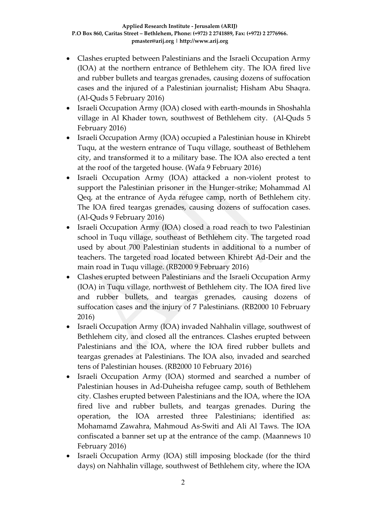- Clashes erupted between Palestinians and the Israeli Occupation Army (IOA) at the northern entrance of Bethlehem city. The IOA fired live and rubber bullets and teargas grenades, causing dozens of suffocation cases and the injured of a Palestinian journalist; Hisham Abu Shaqra. (Al-Quds 5 February 2016)
- Israeli Occupation Army (IOA) closed with earth-mounds in Shoshahla village in Al Khader town, southwest of Bethlehem city. (Al-Quds 5 February 2016)
- Israeli Occupation Army (IOA) occupied a Palestinian house in Khirebt Tuqu, at the western entrance of Tuqu village, southeast of Bethlehem city, and transformed it to a military base. The IOA also erected a tent at the roof of the targeted house. (Wafa 9 February 2016)
- Israeli Occupation Army (IOA) attacked a non-violent protest to support the Palestinian prisoner in the Hunger-strike; Mohammad Al Qeq, at the entrance of Ayda refugee camp, north of Bethlehem city. The IOA fired teargas grenades, causing dozens of suffocation cases. (Al-Quds 9 February 2016)
- Israeli Occupation Army (IOA) closed a road reach to two Palestinian school in Tuqu village, southeast of Bethlehem city. The targeted road used by about 700 Palestinian students in additional to a number of teachers. The targeted road located between Khirebt Ad-Deir and the main road in Tuqu village. (RB2000 9 February 2016)
- Clashes erupted between Palestinians and the Israeli Occupation Army (IOA) in Tuqu village, northwest of Bethlehem city. The IOA fired live and rubber bullets, and teargas grenades, causing dozens of suffocation cases and the injury of 7 Palestinians. (RB2000 10 February 2016)
- Israeli Occupation Army (IOA) invaded Nahhalin village, southwest of Bethlehem city, and closed all the entrances. Clashes erupted between Palestinians and the IOA, where the IOA fired rubber bullets and teargas grenades at Palestinians. The IOA also, invaded and searched tens of Palestinian houses. (RB2000 10 February 2016)
- Israeli Occupation Army (IOA) stormed and searched a number of Palestinian houses in Ad-Duheisha refugee camp, south of Bethlehem city. Clashes erupted between Palestinians and the IOA, where the IOA fired live and rubber bullets, and teargas grenades. During the operation, the IOA arrested three Palestinians; identified as: Mohamamd Zawahra, Mahmoud As-Switi and Ali Al Taws. The IOA confiscated a banner set up at the entrance of the camp. (Maannews 10 February 2016)
- Israeli Occupation Army (IOA) still imposing blockade (for the third days) on Nahhalin village, southwest of Bethlehem city, where the IOA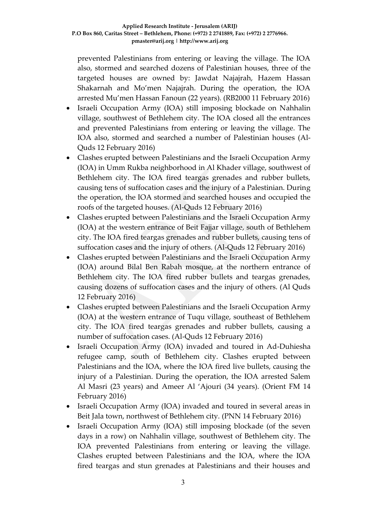prevented Palestinians from entering or leaving the village. The IOA also, stormed and searched dozens of Palestinian houses, three of the targeted houses are owned by: Jawdat Najajrah, Hazem Hassan Shakarnah and Mo'men Najajrah. During the operation, the IOA arrested Mu'men Hassan Fanoun (22 years). (RB2000 11 February 2016)

- Israeli Occupation Army (IOA) still imposing blockade on Nahhalin village, southwest of Bethlehem city. The IOA closed all the entrances and prevented Palestinians from entering or leaving the village. The IOA also, stormed and searched a number of Palestinian houses (Al-Quds 12 February 2016)
- Clashes erupted between Palestinians and the Israeli Occupation Army (IOA) in Umm Rukba neighborhood in Al Khader village, southwest of Bethlehem city. The IOA fired teargas grenades and rubber bullets, causing tens of suffocation cases and the injury of a Palestinian. During the operation, the IOA stormed and searched houses and occupied the roofs of the targeted houses. (Al-Quds 12 February 2016)
- Clashes erupted between Palestinians and the Israeli Occupation Army (IOA) at the western entrance of Beit Fajjar village, south of Bethlehem city. The IOA fired teargas grenades and rubber bullets, causing tens of suffocation cases and the injury of others. (Al-Quds 12 February 2016)
- Clashes erupted between Palestinians and the Israeli Occupation Army (IOA) around Bilal Ben Rabah mosque, at the northern entrance of Bethlehem city. The IOA fired rubber bullets and teargas grenades, causing dozens of suffocation cases and the injury of others. (Al Quds 12 February 2016)
- Clashes erupted between Palestinians and the Israeli Occupation Army (IOA) at the western entrance of Tuqu village, southeast of Bethlehem city. The IOA fired teargas grenades and rubber bullets, causing a number of suffocation cases. (Al-Quds 12 February 2016)
- Israeli Occupation Army (IOA) invaded and toured in Ad-Duhiesha refugee camp, south of Bethlehem city. Clashes erupted between Palestinians and the IOA, where the IOA fired live bullets, causing the injury of a Palestinian. During the operation, the IOA arrested Salem Al Masri (23 years) and Ameer Al 'Ajouri (34 years). (Orient FM 14 February 2016)
- Israeli Occupation Army (IOA) invaded and toured in several areas in Beit Jala town, northwest of Bethlehem city. (PNN 14 February 2016)
- Israeli Occupation Army (IOA) still imposing blockade (of the seven days in a row) on Nahhalin village, southwest of Bethlehem city. The IOA prevented Palestinians from entering or leaving the village. Clashes erupted between Palestinians and the IOA, where the IOA fired teargas and stun grenades at Palestinians and their houses and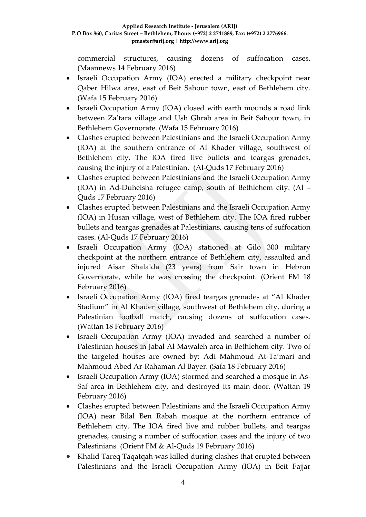commercial structures, causing dozens of suffocation cases. (Maannews 14 February 2016)

- Israeli Occupation Army (IOA) erected a military checkpoint near Qaber Hilwa area, east of Beit Sahour town, east of Bethlehem city. (Wafa 15 February 2016)
- Israeli Occupation Army (IOA) closed with earth mounds a road link between Za'tara village and Ush Ghrab area in Beit Sahour town, in Bethlehem Governorate. (Wafa 15 February 2016)
- Clashes erupted between Palestinians and the Israeli Occupation Army (IOA) at the southern entrance of Al Khader village, southwest of Bethlehem city, The IOA fired live bullets and teargas grenades, causing the injury of a Palestinian. (Al-Quds 17 February 2016)
- Clashes erupted between Palestinians and the Israeli Occupation Army (IOA) in Ad-Duheisha refugee camp, south of Bethlehem city. (Al – Quds 17 February 2016)
- Clashes erupted between Palestinians and the Israeli Occupation Army (IOA) in Husan village, west of Bethlehem city. The IOA fired rubber bullets and teargas grenades at Palestinians, causing tens of suffocation cases. (Al-Quds 17 February 2016)
- Israeli Occupation Army (IOA) stationed at Gilo 300 military checkpoint at the northern entrance of Bethlehem city, assaulted and injured Aisar Shalalda (23 years) from Sair town in Hebron Governorate, while he was crossing the checkpoint. (Orient FM 18 February 2016)
- Israeli Occupation Army (IOA) fired teargas grenades at "Al Khader Stadium" in Al Khader village, southwest of Bethlehem city, during a Palestinian football match, causing dozens of suffocation cases. (Wattan 18 February 2016)
- Israeli Occupation Army (IOA) invaded and searched a number of Palestinian houses in Jabal Al Mawaleh area in Bethlehem city. Two of the targeted houses are owned by: Adi Mahmoud At-Ta'mari and Mahmoud Abed Ar-Rahaman Al Bayer. (Safa 18 February 2016)
- Israeli Occupation Army (IOA) stormed and searched a mosque in As-Saf area in Bethlehem city, and destroyed its main door. (Wattan 19 February 2016)
- Clashes erupted between Palestinians and the Israeli Occupation Army (IOA) near Bilal Ben Rabah mosque at the northern entrance of Bethlehem city. The IOA fired live and rubber bullets, and teargas grenades, causing a number of suffocation cases and the injury of two Palestinians. (Orient FM & Al-Quds 19 February 2016)
- Khalid Tareq Taqatqah was killed during clashes that erupted between Palestinians and the Israeli Occupation Army (IOA) in Beit Fajjar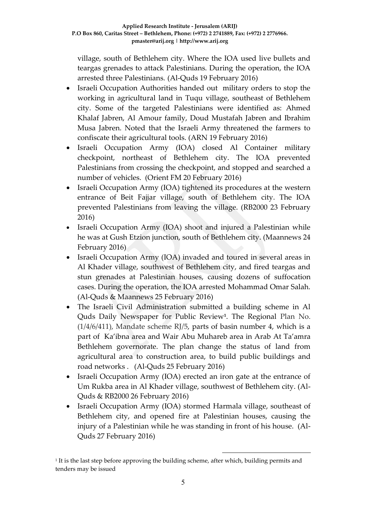village, south of Bethlehem city. Where the IOA used live bullets and teargas grenades to attack Palestinians. During the operation, the IOA arrested three Palestinians. (Al-Quds 19 February 2016)

- Israeli Occupation Authorities handed out military orders to stop the working in agricultural land in Tuqu village, southeast of Bethlehem city. Some of the targeted Palestinians were identified as: Ahmed Khalaf Jabren, Al Amour family, Doud Mustafah Jabren and Ibrahim Musa Jabren. Noted that the Israeli Army threatened the farmers to confiscate their agricultural tools. (ARN 19 February 2016)
- Israeli Occupation Army (IOA) closed Al Container military checkpoint, northeast of Bethlehem city. The IOA prevented Palestinians from crossing the checkpoint, and stopped and searched a number of vehicles. (Orient FM 20 February 2016)
- Israeli Occupation Army (IOA) tightened its procedures at the western entrance of Beit Fajjar village, south of Bethlehem city. The IOA prevented Palestinians from leaving the village. (RB2000 23 February 2016)
- Israeli Occupation Army (IOA) shoot and injured a Palestinian while he was at Gush Etzion junction, south of Bethlehem city. (Maannews 24 February 2016)
- Israeli Occupation Army (IOA) invaded and toured in several areas in Al Khader village, southwest of Bethlehem city, and fired teargas and stun grenades at Palestinian houses, causing dozens of suffocation cases. During the operation, the IOA arrested Mohammad Omar Salah. (Al-Quds & Maannews 25 February 2016)
- The Israeli Civil Administration submitted a building scheme in Al Quds Daily Newspaper for Public Review**<sup>1</sup>** . The Regional Plan No.  $(1/4/6/411)$ , Mandate scheme RJ/5, parts of basin number 4, which is a part of Ka'ibna area and Wair Abu Muhareb area in Arab At Ta'amra Bethlehem governorate. The plan change the status of land from agricultural area to construction area, to build public buildings and road networks . (Al-Quds 25 February 2016)
- Israeli Occupation Army (IOA) erected an iron gate at the entrance of Um Rukba area in Al Khader village, southwest of Bethlehem city. (Al-Quds & RB2000 26 February 2016)
- Israeli Occupation Army (IOA) stormed Harmala village, southeast of Bethlehem city, and opened fire at Palestinian houses, causing the injury of a Palestinian while he was standing in front of his house. (Al-Quds 27 February 2016)

1

1 It is the last step before approving the building scheme, after which, building permits and tenders may be issued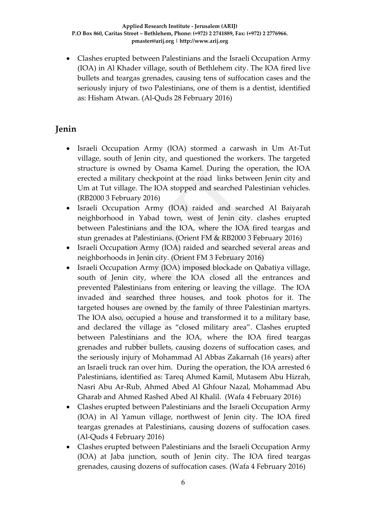Clashes erupted between Palestinians and the Israeli Occupation Army (IOA) in Al Khader village, south of Bethlehem city. The IOA fired live bullets and teargas grenades, causing tens of suffocation cases and the seriously injury of two Palestinians, one of them is a dentist, identified as: Hisham Atwan. (Al-Quds 28 February 2016)

### **Jenin**

- Israeli Occupation Army (IOA) stormed a carwash in Um At-Tut village, south of Jenin city, and questioned the workers. The targeted structure is owned by Osama Kamel. During the operation, the IOA erected a military checkpoint at the road links between Jenin city and Um at Tut village. The IOA stopped and searched Palestinian vehicles. (RB2000 3 February 2016)
- Israeli Occupation Army (IOA) raided and searched Al Baiyarah neighborhood in Yabad town, west of Jenin city. clashes erupted between Palestinians and the IOA, where the IOA fired teargas and stun grenades at Palestinians. (Orient FM & RB2000 3 February 2016)
- Israeli Occupation Army (IOA) raided and searched several areas and neighborhoods in Jenin city. (Orient FM 3 February 2016)
- Israeli Occupation Army (IOA) imposed blockade on Qabatiya village, south of Jenin city, where the IOA closed all the entrances and prevented Palestinians from entering or leaving the village. The IOA invaded and searched three houses, and took photos for it. The targeted houses are owned by the family of three Palestinian martyrs. The IOA also, occupied a house and transformed it to a military base, and declared the village as "closed military area". Clashes erupted between Palestinians and the IOA, where the IOA fired teargas grenades and rubber bullets, causing dozens of suffocation cases, and the seriously injury of Mohammad Al Abbas Zakarnah (16 years) after an Israeli truck ran over him. During the operation, the IOA arrested 6 Palestinians, identified as: Tareq Ahmed Kamil, Mutasem Abu Hizrah, Nasri Abu Ar-Rub, Ahmed Abed Al Ghfour Nazal, Mohammad Abu Gharab and Ahmed Rashed Abed Al Khalil. (Wafa 4 February 2016)
- Clashes erupted between Palestinians and the Israeli Occupation Army (IOA) in Al Yamun village, northwest of Jenin city. The IOA fired teargas grenades at Palestinians, causing dozens of suffocation cases. (Al-Quds 4 February 2016)
- Clashes erupted between Palestinians and the Israeli Occupation Army (IOA) at Jaba junction, south of Jenin city. The IOA fired teargas grenades, causing dozens of suffocation cases. (Wafa 4 February 2016)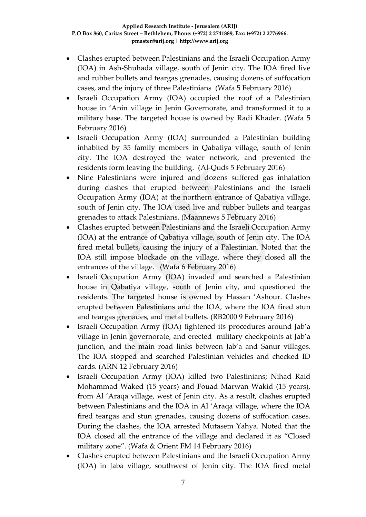- Clashes erupted between Palestinians and the Israeli Occupation Army (IOA) in Ash-Shuhada village, south of Jenin city. The IOA fired live and rubber bullets and teargas grenades, causing dozens of suffocation cases, and the injury of three Palestinians (Wafa 5 February 2016)
- Israeli Occupation Army (IOA) occupied the roof of a Palestinian house in 'Anin village in Jenin Governorate, and transformed it to a military base. The targeted house is owned by Radi Khader. (Wafa 5 February 2016)
- Israeli Occupation Army (IOA) surrounded a Palestinian building inhabited by 35 family members in Qabatiya village, south of Jenin city. The IOA destroyed the water network, and prevented the residents form leaving the building. (Al-Quds 5 February 2016)
- Nine Palestinians were injured and dozens suffered gas inhalation during clashes that erupted between Palestinians and the Israeli Occupation Army (IOA) at the northern entrance of Qabatiya village, south of Jenin city. The IOA used live and rubber bullets and teargas grenades to attack Palestinians. (Maannews 5 February 2016)
- Clashes erupted between Palestinians and the Israeli Occupation Army (IOA) at the entrance of Qabatiya village, south of Jenin city. The IOA fired metal bullets, causing the injury of a Palestinian. Noted that the IOA still impose blockade on the village, where they closed all the entrances of the village. (Wafa 6 February 2016)
- Israeli Occupation Army (IOA) invaded and searched a Palestinian house in Qabatiya village, south of Jenin city, and questioned the residents. The targeted house is owned by Hassan 'Ashour. Clashes erupted between Palestinians and the IOA, where the IOA fired stun and teargas grenades, and metal bullets. (RB2000 9 February 2016)
- Israeli Occupation Army (IOA) tightened its procedures around Jab'a village in Jenin governorate, and erected military checkpoints at Jab'a junction, and the main road links between Jab'a and Sanur villages. The IOA stopped and searched Palestinian vehicles and checked ID cards. (ARN 12 February 2016)
- Israeli Occupation Army (IOA) killed two Palestinians; Nihad Raid Mohammad Waked (15 years) and Fouad Marwan Wakid (15 years), from Al 'Araqa village, west of Jenin city. As a result, clashes erupted between Palestinians and the IOA in Al 'Araqa village, where the IOA fired teargas and stun grenades, causing dozens of suffocation cases. During the clashes, the IOA arrested Mutasem Yahya. Noted that the IOA closed all the entrance of the village and declared it as "Closed military zone". (Wafa & Orient FM 14 February 2016)
- Clashes erupted between Palestinians and the Israeli Occupation Army (IOA) in Jaba village, southwest of Jenin city. The IOA fired metal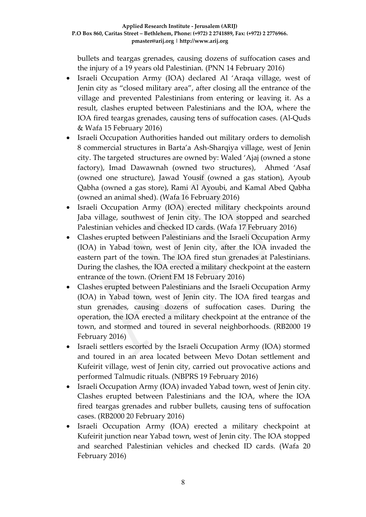bullets and teargas grenades, causing dozens of suffocation cases and the injury of a 19 years old Palestinian. (PNN 14 February 2016)

- Israeli Occupation Army (IOA) declared Al 'Araqa village, west of Jenin city as "closed military area", after closing all the entrance of the village and prevented Palestinians from entering or leaving it. As a result, clashes erupted between Palestinians and the IOA, where the IOA fired teargas grenades, causing tens of suffocation cases. (Al-Quds & Wafa 15 February 2016)
- Israeli Occupation Authorities handed out military orders to demolish 8 commercial structures in Barta'a Ash-Sharqiya village, west of Jenin city. The targeted structures are owned by: Waled 'Ajaj (owned a stone factory), Imad Dawawnah (owned two structures), Ahmed 'Asaf (owned one structure), Jawad Yousif (owned a gas station), Ayoub Qabha (owned a gas store), Rami Al Ayoubi, and Kamal Abed Qabha (owned an animal shed). (Wafa 16 February 2016)
- Israeli Occupation Army (IOA) erected military checkpoints around Jaba village, southwest of Jenin city. The IOA stopped and searched Palestinian vehicles and checked ID cards. (Wafa 17 February 2016)
- Clashes erupted between Palestinians and the Israeli Occupation Army (IOA) in Yabad town, west of Jenin city, after the IOA invaded the eastern part of the town. The IOA fired stun grenades at Palestinians. During the clashes, the IOA erected a military checkpoint at the eastern entrance of the town. (Orient FM 18 February 2016)
- Clashes erupted between Palestinians and the Israeli Occupation Army (IOA) in Yabad town, west of Jenin city. The IOA fired teargas and stun grenades, causing dozens of suffocation cases. During the operation, the IOA erected a military checkpoint at the entrance of the town, and stormed and toured in several neighborhoods. (RB2000 19 February 2016)
- Israeli settlers escorted by the Israeli Occupation Army (IOA) stormed and toured in an area located between Mevo Dotan settlement and Kufeirit village, west of Jenin city, carried out provocative actions and performed Talmudic rituals. (NBPRS 19 February 2016)
- Israeli Occupation Army (IOA) invaded Yabad town, west of Jenin city. Clashes erupted between Palestinians and the IOA, where the IOA fired teargas grenades and rubber bullets, causing tens of suffocation cases. (RB2000 20 February 2016)
- Israeli Occupation Army (IOA) erected a military checkpoint at Kufeirit junction near Yabad town, west of Jenin city. The IOA stopped and searched Palestinian vehicles and checked ID cards. (Wafa 20 February 2016)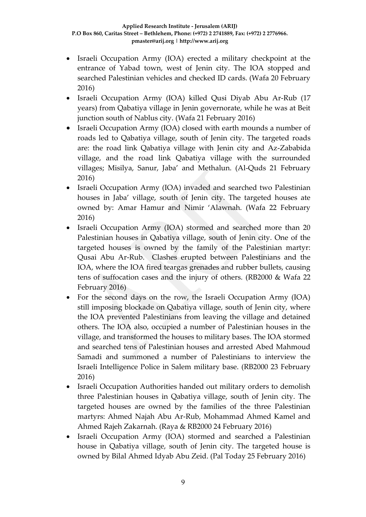- Israeli Occupation Army (IOA) erected a military checkpoint at the entrance of Yabad town, west of Jenin city. The IOA stopped and searched Palestinian vehicles and checked ID cards. (Wafa 20 February 2016)
- Israeli Occupation Army (IOA) killed Qusi Diyab Abu Ar-Rub (17 years) from Qabatiya village in Jenin governorate, while he was at Beit junction south of Nablus city. (Wafa 21 February 2016)
- Israeli Occupation Army (IOA) closed with earth mounds a number of roads led to Qabatiya village, south of Jenin city. The targeted roads are: the road link Qabatiya village with Jenin city and Az-Zababida village, and the road link Qabatiya village with the surrounded villages; Misilya, Sanur, Jaba' and Methalun. (Al-Quds 21 February 2016)
- Israeli Occupation Army (IOA) invaded and searched two Palestinian houses in Jaba' village, south of Jenin city. The targeted houses ate owned by: Amar Hamur and Nimir 'Alawnah. (Wafa 22 February 2016)
- Israeli Occupation Army (IOA) stormed and searched more than 20 Palestinian houses in Qabatiya village, south of Jenin city. One of the targeted houses is owned by the family of the Palestinian martyr: Qusai Abu Ar-Rub. Clashes erupted between Palestinians and the IOA, where the IOA fired teargas grenades and rubber bullets, causing tens of suffocation cases and the injury of others. (RB2000 & Wafa 22 February 2016)
- For the second days on the row, the Israeli Occupation Army (IOA) still imposing blockade on Qabatiya village, south of Jenin city, where the IOA prevented Palestinians from leaving the village and detained others. The IOA also, occupied a number of Palestinian houses in the village, and transformed the houses to military bases. The IOA stormed and searched tens of Palestinian houses and arrested Abed Mahmoud Samadi and summoned a number of Palestinians to interview the Israeli Intelligence Police in Salem military base. (RB2000 23 February 2016)
- Israeli Occupation Authorities handed out military orders to demolish three Palestinian houses in Qabatiya village, south of Jenin city. The targeted houses are owned by the families of the three Palestinian martyrs: Ahmed Najah Abu Ar-Rub, Mohammad Ahmed Kamel and Ahmed Rajeh Zakarnah. (Raya & RB2000 24 February 2016)
- Israeli Occupation Army (IOA) stormed and searched a Palestinian house in Qabatiya village, south of Jenin city. The targeted house is owned by Bilal Ahmed Idyab Abu Zeid. (Pal Today 25 February 2016)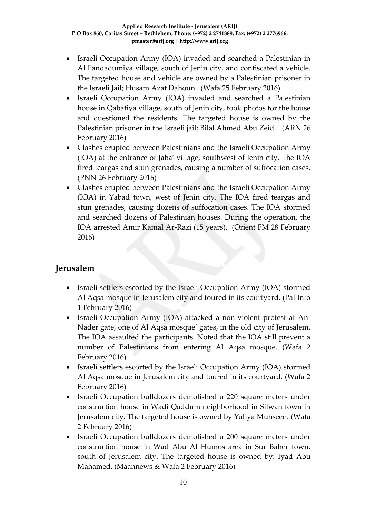- Israeli Occupation Army (IOA) invaded and searched a Palestinian in Al Fandaqumiya village, south of Jenin city, and confiscated a vehicle. The targeted house and vehicle are owned by a Palestinian prisoner in the Israeli Jail; Husam Azat Dahoun. (Wafa 25 February 2016)
- Israeli Occupation Army (IOA) invaded and searched a Palestinian house in Qabatiya village, south of Jenin city, took photos for the house and questioned the residents. The targeted house is owned by the Palestinian prisoner in the Israeli jail; Bilal Ahmed Abu Zeid. (ARN 26 February 2016)
- Clashes erupted between Palestinians and the Israeli Occupation Army (IOA) at the entrance of Jaba' village, southwest of Jenin city. The IOA fired teargas and stun grenades, causing a number of suffocation cases. (PNN 26 February 2016)
- Clashes erupted between Palestinians and the Israeli Occupation Army (IOA) in Yabad town, west of Jenin city. The IOA fired teargas and stun grenades, causing dozens of suffocation cases. The IOA stormed and searched dozens of Palestinian houses. During the operation, the IOA arrested Amir Kamal Ar-Razi (15 years). (Orient FM 28 February 2016)

### **Jerusalem**

- Israeli settlers escorted by the Israeli Occupation Army (IOA) stormed Al Aqsa mosque in Jerusalem city and toured in its courtyard. (Pal Info 1 February 2016)
- Israeli Occupation Army (IOA) attacked a non-violent protest at An-Nader gate, one of Al Aqsa mosque' gates, in the old city of Jerusalem. The IOA assaulted the participants. Noted that the IOA still prevent a number of Palestinians from entering Al Aqsa mosque. (Wafa 2 February 2016)
- Israeli settlers escorted by the Israeli Occupation Army (IOA) stormed Al Aqsa mosque in Jerusalem city and toured in its courtyard. (Wafa 2 February 2016)
- Israeli Occupation bulldozers demolished a 220 square meters under construction house in Wadi Qaddum neighborhood in Silwan town in Jerusalem city. The targeted house is owned by Yahya Muhseen. (Wafa 2 February 2016)
- Israeli Occupation bulldozers demolished a 200 square meters under construction house in Wad Abu Al Humos area in Sur Baher town, south of Jerusalem city. The targeted house is owned by: Iyad Abu Mahamed. (Maannews & Wafa 2 February 2016)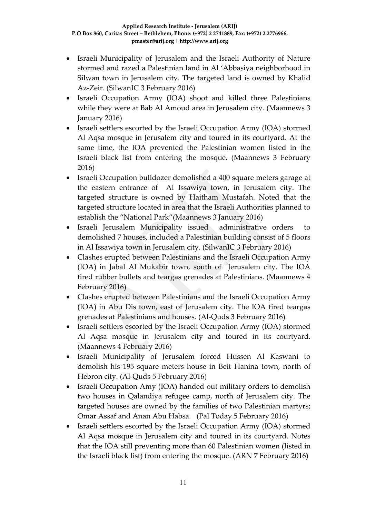- Israeli Municipality of Jerusalem and the Israeli Authority of Nature stormed and razed a Palestinian land in Al 'Abbasiya neighborhood in Silwan town in Jerusalem city. The targeted land is owned by Khalid Az-Zeir. (SilwanIC 3 February 2016)
- Israeli Occupation Army (IOA) shoot and killed three Palestinians while they were at Bab Al Amoud area in Jerusalem city. (Maannews 3 January 2016)
- Israeli settlers escorted by the Israeli Occupation Army (IOA) stormed Al Aqsa mosque in Jerusalem city and toured in its courtyard. At the same time, the IOA prevented the Palestinian women listed in the Israeli black list from entering the mosque. (Maannews 3 February 2016)
- Israeli Occupation bulldozer demolished a 400 square meters garage at the eastern entrance of Al Issawiya town, in Jerusalem city. The targeted structure is owned by Haitham Mustafah. Noted that the targeted structure located in area that the Israeli Authorities planned to establish the "National Park"(Maannews 3 January 2016)
- Israeli Jerusalem Municipality issued administrative orders to demolished 7 houses, included a Palestinian building consist of 5 floors in Al Issawiya town in Jerusalem city. (SilwanIC 3 February 2016)
- Clashes erupted between Palestinians and the Israeli Occupation Army (IOA) in Jabal Al Mukabir town, south of Jerusalem city. The IOA fired rubber bullets and teargas grenades at Palestinians. (Maannews 4 February 2016)
- Clashes erupted between Palestinians and the Israeli Occupation Army (IOA) in Abu Dis town, east of Jerusalem city. The IOA fired teargas grenades at Palestinians and houses. (Al-Quds 3 February 2016)
- Israeli settlers escorted by the Israeli Occupation Army (IOA) stormed Al Aqsa mosque in Jerusalem city and toured in its courtyard. (Maannews 4 February 2016)
- Israeli Municipality of Jerusalem forced Hussen Al Kaswani to demolish his 195 square meters house in Beit Hanina town, north of Hebron city. (Al-Quds 5 February 2016)
- Israeli Occupation Amy (IOA) handed out military orders to demolish two houses in Qalandiya refugee camp, north of Jerusalem city. The targeted houses are owned by the families of two Palestinian martyrs; Omar Assaf and Anan Abu Habsa. (Pal Today 5 February 2016)
- Israeli settlers escorted by the Israeli Occupation Army (IOA) stormed Al Aqsa mosque in Jerusalem city and toured in its courtyard. Notes that the IOA still preventing more than 60 Palestinian women (listed in the Israeli black list) from entering the mosque. (ARN 7 February 2016)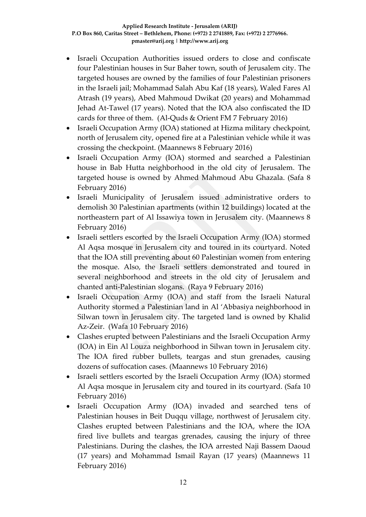- Israeli Occupation Authorities issued orders to close and confiscate four Palestinian houses in Sur Baher town, south of Jerusalem city. The targeted houses are owned by the families of four Palestinian prisoners in the Israeli jail; Mohammad Salah Abu Kaf (18 years), Waled Fares Al Atrash (19 years), Abed Mahmoud Dwikat (20 years) and Mohammad Jehad At-Tawel (17 years). Noted that the IOA also confiscated the ID cards for three of them. (Al-Quds & Orient FM 7 February 2016)
- Israeli Occupation Army (IOA) stationed at Hizma military checkpoint, north of Jerusalem city, opened fire at a Palestinian vehicle while it was crossing the checkpoint. (Maannews 8 February 2016)
- Israeli Occupation Army (IOA) stormed and searched a Palestinian house in Bab Hutta neighborhood in the old city of Jerusalem. The targeted house is owned by Ahmed Mahmoud Abu Ghazala. (Safa 8 February 2016)
- Israeli Municipality of Jerusalem issued administrative orders to demolish 30 Palestinian apartments (within 12 buildings) located at the northeastern part of Al Issawiya town in Jerusalem city. (Maannews 8 February 2016)
- Israeli settlers escorted by the Israeli Occupation Army (IOA) stormed Al Aqsa mosque in Jerusalem city and toured in its courtyard. Noted that the IOA still preventing about 60 Palestinian women from entering the mosque. Also, the Israeli settlers demonstrated and toured in several neighborhood and streets in the old city of Jerusalem and chanted anti-Palestinian slogans. (Raya 9 February 2016)
- Israeli Occupation Army (IOA) and staff from the Israeli Natural Authority stormed a Palestinian land in Al 'Abbasiya neighborhood in Silwan town in Jerusalem city. The targeted land is owned by Khalid Az-Zeir. (Wafa 10 February 2016)
- Clashes erupted between Palestinians and the Israeli Occupation Army (IOA) in Ein Al Louza neighborhood in Silwan town in Jerusalem city. The IOA fired rubber bullets, teargas and stun grenades, causing dozens of suffocation cases. (Maannews 10 February 2016)
- Israeli settlers escorted by the Israeli Occupation Army (IOA) stormed Al Aqsa mosque in Jerusalem city and toured in its courtyard. (Safa 10 February 2016)
- Israeli Occupation Army (IOA) invaded and searched tens of Palestinian houses in Beit Duqqu village, northwest of Jerusalem city. Clashes erupted between Palestinians and the IOA, where the IOA fired live bullets and teargas grenades, causing the injury of three Palestinians. During the clashes, the IOA arrested Naji Bassem Daoud (17 years) and Mohammad Ismail Rayan (17 years) (Maannews 11 February 2016)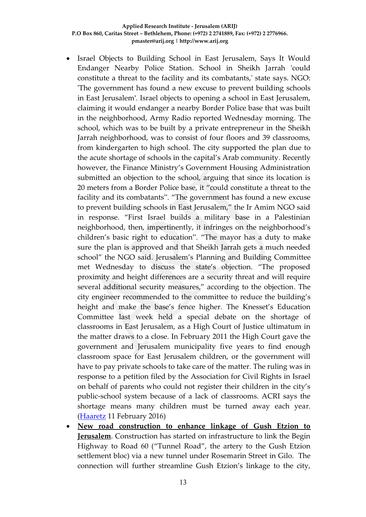- Israel Objects to Building School in East Jerusalem, Says It Would Endanger Nearby Police Station. School in Sheikh Jarrah 'could constitute a threat to the facility and its combatants,' state says. NGO: 'The government has found a new excuse to prevent building schools in East Jerusalem'. Israel objects to opening a school in East Jerusalem, claiming it would endanger a nearby Border Police base that was built in the neighborhood, Army Radio reported Wednesday morning. The school, which was to be built by a private entrepreneur in the Sheikh Jarrah neighborhood, was to consist of four floors and 39 classrooms, from kindergarten to high school. The city supported the plan due to the acute shortage of schools in the capital's Arab community. Recently however, the Finance Ministry's Government Housing Administration submitted an objection to the school, arguing that since its location is 20 meters from a Border Police base, it "could constitute a threat to the facility and its combatants". "The government has found a new excuse to prevent building schools in East Jerusalem," the Ir Amim NGO said in response. "First Israel builds a military base in a Palestinian neighborhood, then, impertinently, it infringes on the neighborhood's children's basic right to education". "The mayor has a duty to make sure the plan is approved and that Sheikh Jarrah gets a much needed school" the NGO said. Jerusalem's Planning and Building Committee met Wednesday to discuss the state's objection. "The proposed proximity and height differences are a security threat and will require several additional security measures," according to the objection. The city engineer recommended to the committee to reduce the building's height and make the base's fence higher. The Knesset's Education Committee last week held a special debate on the shortage of classrooms in East Jerusalem, as a High Court of Justice ultimatum in the matter draws to a close. In February 2011 the High Court gave the government and Jerusalem municipality five years to find enough classroom space for East Jerusalem children, or the government will have to pay private schools to take care of the matter. The ruling was in response to a petition filed by the Association for Civil Rights in Israel on behalf of parents who could not register their children in the city's public-school system because of a lack of classrooms. ACRI says the shortage means many children must be turned away each year. [\(Haaretz](http://www.haaretz.com/israel-news/.premium-1.702626) 11 February 2016)
- **New road construction to enhance linkage of Gush Etzion to Jerusalem**. Construction has started on infrastructure to link the Begin Highway to Road 60 ("Tunnel Road", the artery to the Gush Etzion settlement bloc) via a new tunnel under Rosemarin Street in Gilo. The connection will further streamline Gush Etzion's linkage to the city,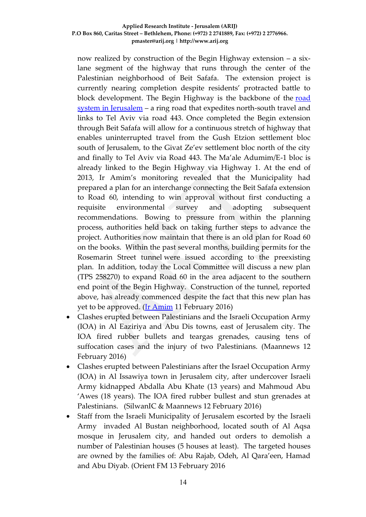now realized by construction of the Begin Highway extension – a sixlane segment of the highway that runs through the center of the Palestinian neighborhood of Beit Safafa. The extension project is currently nearing completion despite residents' protracted battle to block development. The Begin Highway is the backbone of the [road](http://www.altro.co.il/uploads/252/File/Road%20map.jpg)  [system in Jerusalem](http://www.altro.co.il/uploads/252/File/Road%20map.jpg) – a ring road that expedites north-south travel and links to Tel Aviv via road 443. Once completed the Begin extension through Beit Safafa will allow for a continuous stretch of highway that enables uninterrupted travel from the Gush Etzion settlement bloc south of Jerusalem, to the Givat Ze'ev settlement bloc north of the city and finally to Tel Aviv via Road 443. The Ma'ale Adumim/E-1 bloc is already linked to the Begin Highway via Highway 1. At the end of 2013, Ir Amim's monitoring revealed that the Municipality had prepared a plan for an interchange connecting the Beit Safafa extension to Road 60, intending to win approval without first conducting a requisite environmental survey and adopting subsequent recommendations. Bowing to pressure from within the planning process, authorities held back on taking further steps to advance the project. Authorities now maintain that there is an old plan for Road 60 on the books. Within the past several months, building permits for the Rosemarin Street tunnel were issued according to the preexisting plan. In addition, today the Local Committee will discuss a new plan (TPS 258270) to expand Road 60 in the area adjacent to the southern end point of the Begin Highway. Construction of the tunnel, reported above, has already commenced despite the fact that this new plan has yet to be approved. [\(Ir Amim](http://www.altro.co.il/newsletters/show/8617?key=08df354b3dd7853bae6cc333e526b2dd&value=9a3cdcd0e38da468aea5b504ce87c7a2d1ce4fef:1260978) 11 February 2016)

- Clashes erupted between Palestinians and the Israeli Occupation Army (IOA) in Al Eaziriya and Abu Dis towns, east of Jerusalem city. The IOA fired rubber bullets and teargas grenades, causing tens of suffocation cases and the injury of two Palestinians. (Maannews 12 February 2016)
- Clashes erupted between Palestinians after the Israel Occupation Army (IOA) in Al Issawiya town in Jerusalem city, after undercover Israeli Army kidnapped Abdalla Abu Khate (13 years) and Mahmoud Abu 'Awes (18 years). The IOA fired rubber bullest and stun grenades at Palestinians. (SilwanIC & Maannews 12 February 2016)
- Staff from the Israeli Municipality of Jerusalem escorted by the Israeli Army invaded Al Bustan neighborhood, located south of Al Aqsa mosque in Jerusalem city, and handed out orders to demolish a number of Palestinian houses (5 houses at least). The targeted houses are owned by the families of: Abu Rajab, Odeh, Al Qara'een, Hamad and Abu Diyab. (Orient FM 13 February 2016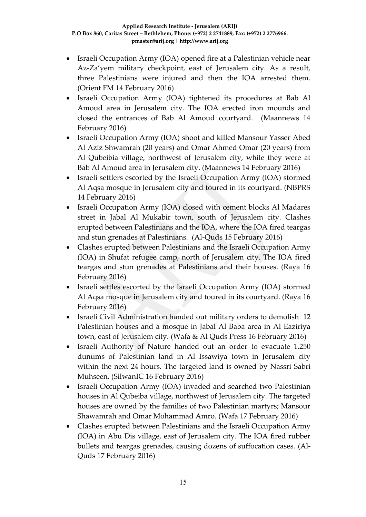- Israeli Occupation Army (IOA) opened fire at a Palestinian vehicle near Az-Za'yem military checkpoint, east of Jerusalem city. As a result, three Palestinians were injured and then the IOA arrested them. (Orient FM 14 February 2016)
- Israeli Occupation Army (IOA) tightened its procedures at Bab Al Amoud area in Jerusalem city. The IOA erected iron mounds and closed the entrances of Bab Al Amoud courtyard. (Maannews 14 February 2016)
- Israeli Occupation Army (IOA) shoot and killed Mansour Yasser Abed Al Aziz Shwamrah (20 years) and Omar Ahmed Omar (20 years) from Al Qubeibia village, northwest of Jerusalem city, while they were at Bab Al Amoud area in Jerusalem city. (Maannews 14 February 2016)
- Israeli settlers escorted by the Israeli Occupation Army (IOA) stormed Al Aqsa mosque in Jerusalem city and toured in its courtyard. (NBPRS 14 February 2016)
- Israeli Occupation Army (IOA) closed with cement blocks Al Madares street in Jabal Al Mukabir town, south of Jerusalem city. Clashes erupted between Palestinians and the IOA, where the IOA fired teargas and stun grenades at Palestinians. (Al-Quds 15 February 2016)
- Clashes erupted between Palestinians and the Israeli Occupation Army (IOA) in Shufat refugee camp, north of Jerusalem city. The IOA fired teargas and stun grenades at Palestinians and their houses. (Raya 16 February 2016)
- Israeli settles escorted by the Israeli Occupation Army (IOA) stormed Al Aqsa mosque in Jerusalem city and toured in its courtyard. (Raya 16 February 2016)
- Israeli Civil Administration handed out military orders to demolish 12 Palestinian houses and a mosque in Jabal Al Baba area in Al Eaziriya town, east of Jerusalem city. (Wafa & Al Quds Press 16 February 2016)
- Israeli Authority of Nature handed out an order to evacuate 1.250 dunums of Palestinian land in Al Issawiya town in Jerusalem city within the next 24 hours. The targeted land is owned by Nassri Sabri Muhseen. (SilwanIC 16 February 2016)
- Israeli Occupation Army (IOA) invaded and searched two Palestinian houses in Al Qubeiba village, northwest of Jerusalem city. The targeted houses are owned by the families of two Palestinian martyrs; Mansour Shawamrah and Omar Mohammad Amro. (Wafa 17 February 2016)
- Clashes erupted between Palestinians and the Israeli Occupation Army (IOA) in Abu Dis village, east of Jerusalem city. The IOA fired rubber bullets and teargas grenades, causing dozens of suffocation cases. (Al-Quds 17 February 2016)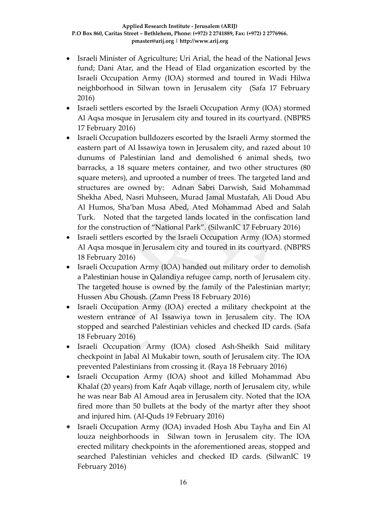- Israeli Minister of Agriculture; Uri Arial, the head of the National Jews fund; Dani Atar, and the Head of Elad organization escorted by the Israeli Occupation Army (IOA) stormed and toured in Wadi Hilwa neighborhood in Silwan town in Jerusalem city (Safa 17 February 2016)
- Israeli settlers escorted by the Israeli Occupation Army (IOA) stormed Al Aqsa mosque in Jerusalem city and toured in its courtyard. (NBPRS 17 February 2016)
- Israeli Occupation bulldozers escorted by the Israeli Army stormed the eastern part of Al Issawiya town in Jerusalem city, and razed about 10 dunums of Palestinian land and demolished 6 animal sheds, two barracks, a 18 square meters container, and two other structures (80 square meters), and uprooted a number of trees. The targeted land and structures are owned by: Adnan Sabri Darwish, Said Mohammad Shekha Abed, Nasri Muhseen, Murad Jamal Mustafah, Ali Doud Abu Al Humos, Sha'ban Musa Abed, Ated Mohammad Abed and Salah Turk. Noted that the targeted lands located in the confiscation land for the construction of "National Park". (SilwanIC 17 February 2016)
- Israeli settlers escorted by the Israeli Occupation Army (IOA) stormed Al Aqsa mosque in Jerusalem city and toured in its courtyard. (NBPRS 18 February 2016)
- Israeli Occupation Army (IOA) handed out military order to demolish a Palestinian house in Qalandiya refugee camp, north of Jerusalem city. The targeted house is owned by the family of the Palestinian martyr; Hussen Abu Ghoush. (Zamn Press 18 February 2016)
- Israeli Occupation Army (IOA) erected a military checkpoint at the western entrance of Al Issawiya town in Jerusalem city. The IOA stopped and searched Palestinian vehicles and checked ID cards. (Safa 18 February 2016)
- Israeli Occupation Army (IOA) closed Ash-Sheikh Said military checkpoint in Jabal Al Mukabir town, south of Jerusalem city. The IOA prevented Palestinians from crossing it. (Raya 18 February 2016)
- Israeli Occupation Army (IOA) shoot and killed Mohammad Abu Khalaf (20 years) from Kafr Aqab village, north of Jerusalem city, while he was near Bab Al Amoud area in Jerusalem city. Noted that the IOA fired more than 50 bullets at the body of the martyr after they shoot and injured him. (Al-Quds 19 February 2016)
- Israeli Occupation Army (IOA) invaded Hosh Abu Tayha and Ein Al louza neighborhoods in Silwan town in Jerusalem city. The IOA erected military checkpoints in the aforementioned areas, stopped and searched Palestinian vehicles and checked ID cards. (SilwanIC 19 February 2016)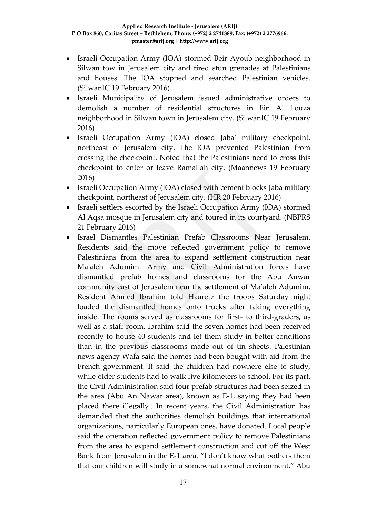- Israeli Occupation Army (IOA) stormed Beir Ayoub neighborhood in Silwan tow in Jerusalem city and fired stun grenades at Palestinians and houses. The IOA stopped and searched Palestinian vehicles. (SilwanIC 19 February 2016)
- Israeli Municipality of Jerusalem issued administrative orders to demolish a number of residential structures in Ein Al Louza neighborhood in Silwan town in Jerusalem city. (SilwanIC 19 February 2016)
- Israeli Occupation Army (IOA) closed Jaba' military checkpoint, northeast of Jerusalem city. The IOA prevented Palestinian from crossing the checkpoint. Noted that the Palestinians need to cross this checkpoint to enter or leave Ramallah city. (Maannews 19 February 2016)
- Israeli Occupation Army (IOA) closed with cement blocks Jaba military checkpoint, northeast of Jerusalem city. (HR 20 February 2016)
- Israeli settlers escorted by the Israeli Occupation Army (IOA) stormed Al Aqsa mosque in Jerusalem city and toured in its courtyard. (NBPRS 21 February 2016)
- Israel Dismantles Palestinian Prefab Classrooms Near Jerusalem. Residents said the move reflected government policy to remove Palestinians from the area to expand settlement construction near Ma'aleh Adumim. Army and Civil Administration forces have dismantled prefab homes and classrooms for the Abu Anwar community east of Jerusalem near the settlement of Ma'aleh Adumim. Resident Ahmed Ibrahim told Haaretz the troops Saturday night loaded the dismantled homes onto trucks after taking everything inside. The rooms served as classrooms for first- to third-graders, as well as a staff room. Ibrahim said the seven homes had been received recently to house 40 students and let them study in better conditions than in the previous classrooms made out of tin sheets. Palestinian news agency Wafa said the homes had been bought with aid from the French government. It said the children had nowhere else to study, while older students had to walk five kilometers to school. For its part, the Civil Administration said four prefab structures had been seized in the area (Abu An Nawar area), known as E-1, saying they had been placed there illegally . In recent years, the Civil Administration has demanded that the authorities demolish buildings that international organizations, particularly European ones, have donated. Local people said the operation reflected government policy to remove Palestinians from the area to expand settlement construction and cut off the West Bank from Jerusalem in the E-1 area. "I don't know what bothers them that our children will study in a somewhat normal environment," Abu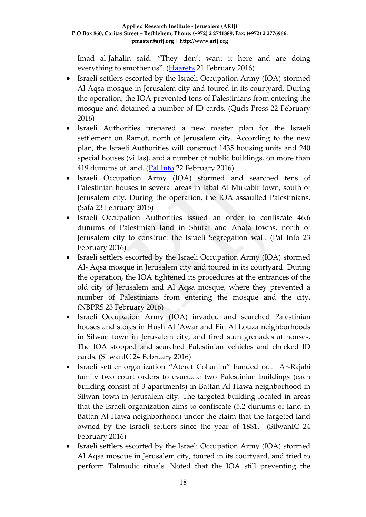Imad al-Jahalin said. "They don't want it here and are doing everything to smother us". [\(Haaretz](http://www.haaretz.com/israel-news/.premium-1.704567) 21 February 2016)

- Israeli settlers escorted by the Israeli Occupation Army (IOA) stormed Al Aqsa mosque in Jerusalem city and toured in its courtyard. During the operation, the IOA prevented tens of Palestinians from entering the mosque and detained a number of ID cards. (Quds Press 22 February 2016)
- Israeli Authorities prepared a new master plan for the Israeli settlement on Ramot, north of Jerusalem city. According to the new plan, the Israeli Authorities will construct 1435 housing units and 240 special houses (villas), and a number of public buildings, on more than 419 dunums of land. [\(Pal Info](https://www.palinfo.com/news/2016/2/22/-%D8%A7%D9%84%D9%82%D8%AF%D8%B3---%D9%85%D8%AE%D8%B7%D8%B7-%D9%87%D9%8A%D9%83%D9%84%D9%8A-%D9%84%D8%AA%D9%88%D8%B3%D9%8A%D8%B9-%D9%85%D8%B3%D8%AA%D9%88%D8%B7%D9%86%D8%A9--%D8%B1%D8%A7%D9%85%D9%88%D8%AA-) 22 February 2016)
- Israeli Occupation Army (IOA) stormed and searched tens of Palestinian houses in several areas in Jabal Al Mukabir town, south of Jerusalem city. During the operation, the IOA assaulted Palestinians. (Safa 23 February 2016)
- Israeli Occupation Authorities issued an order to confiscate 46.6 dunums of Palestinian land in Shufat and Anata towns, north of Jerusalem city to construct the Israeli Segregation wall. (Pal Info 23 February 2016)
- Israeli settlers escorted by the Israeli Occupation Army (IOA) stormed Al- Aqsa mosque in Jerusalem city and toured in its courtyard. During the operation, the IOA tightened its procedures at the entrances of the old city of Jerusalem and Al Aqsa mosque, where they prevented a number of Palestinians from entering the mosque and the city. (NBPRS 23 February 2016)
- Israeli Occupation Army (IOA) invaded and searched Palestinian houses and stores in Hush Al 'Awar and Ein Al Louza neighborhoods in Silwan town in Jerusalem city, and fired stun grenades at houses. The IOA stopped and searched Palestinian vehicles and checked ID cards. (SilwanIC 24 February 2016)
- Israeli settler organization "Ateret Cohanim" handed out Ar-Rajabi family two court orders to evacuate two Palestinian buildings (each building consist of 3 apartments) in Battan Al Hawa neighborhood in Silwan town in Jerusalem city. The targeted building located in areas that the Israeli organization aims to confiscate (5.2 dunums of land in Battan Al Hawa neighborhood) under the claim that the targeted land owned by the Israeli settlers since the year of 1881. (SilwanIC 24 February 2016)
- Israeli settlers escorted by the Israeli Occupation Army (IOA) stormed Al Aqsa mosque in Jerusalem city, toured in its courtyard, and tried to perform Talmudic rituals. Noted that the IOA still preventing the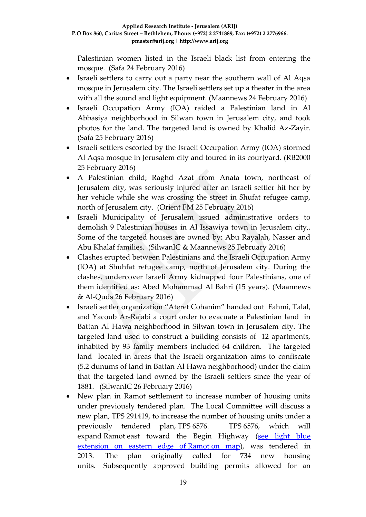Palestinian women listed in the Israeli black list from entering the mosque. (Safa 24 February 2016)

- Israeli settlers to carry out a party near the southern wall of Al Aqsa mosque in Jerusalem city. The Israeli settlers set up a theater in the area with all the sound and light equipment. (Maannews 24 February 2016)
- Israeli Occupation Army (IOA) raided a Palestinian land in Al Abbasiya neighborhood in Silwan town in Jerusalem city, and took photos for the land. The targeted land is owned by Khalid Az-Zayir. (Safa 25 February 2016)
- Israeli settlers escorted by the Israeli Occupation Army (IOA) stormed Al Aqsa mosque in Jerusalem city and toured in its courtyard. (RB2000 25 February 2016)
- A Palestinian child; Raghd Azat from Anata town, northeast of Jerusalem city, was seriously injured after an Israeli settler hit her by her vehicle while she was crossing the street in Shufat refugee camp, north of Jerusalem city. (Orient FM 25 February 2016)
- Israeli Municipality of Jerusalem issued administrative orders to demolish 9 Palestinian houses in Al Issawiya town in Jerusalem city,. Some of the targeted houses are owned by: Abu Rayalah, Nasser and Abu Khalaf families. (SilwanIC & Maannews 25 February 2016)
- Clashes erupted between Palestinians and the Israeli Occupation Army (IOA) at Shuhfat refugee camp, north of Jerusalem city. During the clashes, undercover Israeli Army kidnapped four Palestinians, one of them identified as: Abed Mohammad Al Bahri (15 years). (Maannews & Al-Quds 26 February 2016)
- Israeli settler organization "Ateret Cohanim" handed out Fahmi, Talal, and Yacoub Ar-Rajabi a court order to evacuate a Palestinian land in Battan Al Hawa neighborhood in Silwan town in Jerusalem city. The targeted land used to construct a building consists of 12 apartments, inhabited by 93 family members included 64 children. The targeted land located in areas that the Israeli organization aims to confiscate (5.2 dunums of land in Battan Al Hawa neighborhood) under the claim that the targeted land owned by the Israeli settlers since the year of 1881. (SilwanIC 26 February 2016)
- New plan in Ramot settlement to increase number of housing units under previously tendered plan. The Local Committee will discuss a new plan, TPS 291419, to increase the number of housing units under a previously tendered plan, TPS 6576. TPS 6576, which will expand Ramot east toward the Begin Highway (see light blue [extension on eastern edge of](http://www.altro.co.il/uploads/252/File/Greater%20Jerusalem%20Eng%202015.jpg) Ramot on map), was tendered in 2013. The plan originally called for 734 new housing units. Subsequently approved building permits allowed for an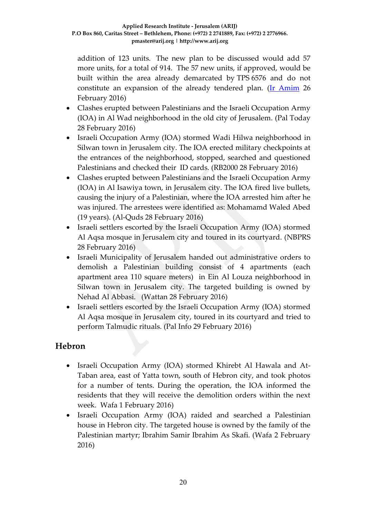addition of 123 units. The new plan to be discussed would add 57 more units, for a total of 914. The 57 new units, if approved, would be built within the area already demarcated by TPS 6576 and do not constitute an expansion of the already tendered plan. [\(Ir Amim](http://www.altro.co.il/newsletters/show/8633?key=eed4e81c9439caa0caa323b11078d9e9&value=9a3cdcd0e38da468aea5b504ce87c7a2d1ce4fef:1260978) 26 February 2016)

- Clashes erupted between Palestinians and the Israeli Occupation Army (IOA) in Al Wad neighborhood in the old city of Jerusalem. (Pal Today 28 February 2016)
- Israeli Occupation Army (IOA) stormed Wadi Hilwa neighborhood in Silwan town in Jerusalem city. The IOA erected military checkpoints at the entrances of the neighborhood, stopped, searched and questioned Palestinians and checked their ID cards. (RB2000 28 February 2016)
- Clashes erupted between Palestinians and the Israeli Occupation Army (IOA) in Al Isawiya town, in Jerusalem city. The IOA fired live bullets, causing the injury of a Palestinian, where the IOA arrested him after he was injured. The arrestees were identified as: Mohamamd Waled Abed (19 years). (Al-Quds 28 February 2016)
- Israeli settlers escorted by the Israeli Occupation Army (IOA) stormed Al Aqsa mosque in Jerusalem city and toured in its courtyard. (NBPRS 28 February 2016)
- Israeli Municipality of Jerusalem handed out administrative orders to demolish a Palestinian building consist of 4 apartments (each apartment area 110 square meters) in Ein Al Louza neighborhood in Silwan town in Jerusalem city. The targeted building is owned by Nehad Al Abbasi. (Wattan 28 February 2016)
- Israeli settlers escorted by the Israeli Occupation Army (IOA) stormed Al Aqsa mosque in Jerusalem city, toured in its courtyard and tried to perform Talmudic rituals. (Pal Info 29 February 2016)

### **Hebron**

- Israeli Occupation Army (IOA) stormed Khirebt Al Hawala and At-Taban area, east of Yatta town, south of Hebron city, and took photos for a number of tents. During the operation, the IOA informed the residents that they will receive the demolition orders within the next week. Wafa 1 February 2016)
- Israeli Occupation Army (IOA) raided and searched a Palestinian house in Hebron city. The targeted house is owned by the family of the Palestinian martyr; Ibrahim Samir Ibrahim As Skafi. (Wafa 2 February 2016)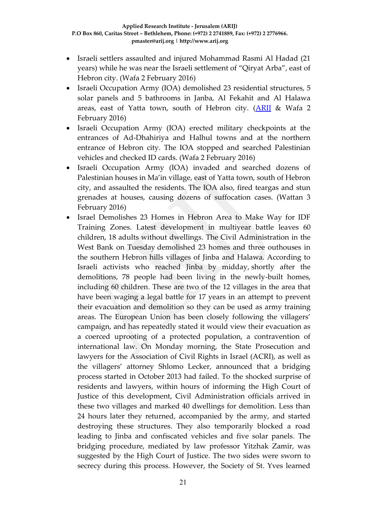- Israeli settlers assaulted and injured Mohammad Rasmi Al Hadad (21 years) while he was near the Israeli settlement of "Qiryat Arba", east of Hebron city. (Wafa 2 February 2016)
- Israeli Occupation Army (IOA) demolished 23 residential structures, 5 solar panels and 5 bathrooms in Janba, Al Fekahit and Al Halawa areas, east of Yatta town, south of Hebron city. [\(ARIJ](http://poica.org/details.php?Article=8990) & Wafa 2 February 2016)
- Israeli Occupation Army (IOA) erected military checkpoints at the entrances of Ad-Dhahiriya and Halhul towns and at the northern entrance of Hebron city. The IOA stopped and searched Palestinian vehicles and checked ID cards. (Wafa 2 February 2016)
- Israeli Occupation Army (IOA) invaded and searched dozens of Palestinian houses in Ma'in village, east of Yatta town, south of Hebron city, and assaulted the residents. The IOA also, fired teargas and stun grenades at houses, causing dozens of suffocation cases. (Wattan 3 February 2016)
- Israel Demolishes 23 Homes in Hebron Area to Make Way for IDF Training Zones. Latest development in multiyear battle leaves 60 children, 18 adults without dwellings. The Civil Administration in the West Bank on Tuesday demolished 23 homes and three outhouses in the southern Hebron hills villages of Jinba and Halawa. According to Israeli activists who reached Jinba by midday, shortly after the demolitions, 78 people had been living in the newly-built homes, including 60 children. These are two of the 12 villages in the area that have been waging a legal battle for 17 years in an attempt to prevent their evacuation and demolition so they can be used as army training areas. The European Union has been closely following the villagers' campaign, and has repeatedly stated it would view their evacuation as a coerced uprooting of a protected population, a contravention of international law. On Monday morning, the State Prosecution and lawyers for the Association of Civil Rights in Israel (ACRI), as well as the villagers' attorney Shlomo Lecker, announced that a bridging process started in October 2013 had failed. To the shocked surprise of residents and lawyers, within hours of informing the High Court of Justice of this development, Civil Administration officials arrived in these two villages and marked 40 dwellings for demolition. Less than 24 hours later they returned, accompanied by the army, and started destroying these structures. They also temporarily blocked a road leading to Jinba and confiscated vehicles and five solar panels. The bridging procedure, mediated by law professor Yitzhak Zamir, was suggested by the High Court of Justice. The two sides were sworn to secrecy during this process. However, the Society of St. Yves learned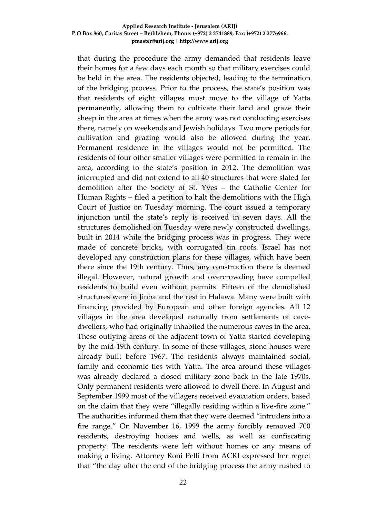that during the procedure the army demanded that residents leave their homes for a few days each month so that military exercises could be held in the area. The residents objected, leading to the termination of the bridging process. Prior to the process, the state's position was that residents of eight villages must move to the village of Yatta permanently, allowing them to cultivate their land and graze their sheep in the area at times when the army was not conducting exercises there, namely on weekends and Jewish holidays. Two more periods for cultivation and grazing would also be allowed during the year. Permanent residence in the villages would not be permitted. The residents of four other smaller villages were permitted to remain in the area, according to the state's position in 2012. The demolition was interrupted and did not extend to all 40 structures that were slated for demolition after the Society of St. Yves – the Catholic Center for Human Rights – filed a petition to halt the demolitions with the High Court of Justice on Tuesday morning. The court issued a temporary injunction until the state's reply is received in seven days. All the structures demolished on Tuesday were newly constructed dwellings, built in 2014 while the bridging process was in progress. They were made of concrete bricks, with corrugated tin roofs. Israel has not developed any construction plans for these villages, which have been there since the 19th century. Thus, any construction there is deemed illegal. However, natural growth and overcrowding have compelled residents to build even without permits. Fifteen of the demolished structures were in Jinba and the rest in Halawa. Many were built with financing provided by European and other foreign agencies. All 12 villages in the area developed naturally from settlements of cavedwellers, who had originally inhabited the numerous caves in the area. These outlying areas of the adjacent town of Yatta started developing by the mid-19th century. In some of these villages, stone houses were already built before 1967. The residents always maintained social, family and economic ties with Yatta. The area around these villages was already declared a closed military zone back in the late 1970s. Only permanent residents were allowed to dwell there. In August and September 1999 most of the villagers received evacuation orders, based on the claim that they were "illegally residing within a live-fire zone." The authorities informed them that they were deemed "intruders into a fire range." On November 16, 1999 the army forcibly removed 700 residents, destroying houses and wells, as well as confiscating property. The residents were left without homes or any means of making a living. Attorney Roni Pelli from ACRI expressed her regret that "the day after the end of the bridging process the army rushed to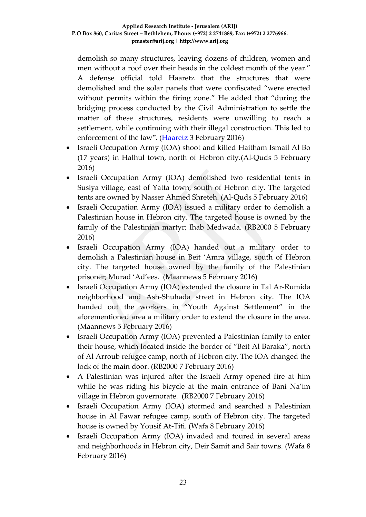demolish so many structures, leaving dozens of children, women and men without a roof over their heads in the coldest month of the year." A defense official told Haaretz that the structures that were demolished and the solar panels that were confiscated "were erected without permits within the firing zone." He added that "during the bridging process conducted by the Civil Administration to settle the matter of these structures, residents were unwilling to reach a settlement, while continuing with their illegal construction. This led to enforcement of the law". [\(Haaretz](http://www.haaretz.com/israel-news/.premium-1.701059) 3 February 2016)

- Israeli Occupation Army (IOA) shoot and killed Haitham Ismail Al Bo (17 years) in Halhul town, north of Hebron city.(Al-Quds 5 February 2016)
- Israeli Occupation Army (IOA) demolished two residential tents in Susiya village, east of Yatta town, south of Hebron city. The targeted tents are owned by Nasser Ahmed Shreteh. (Al-Quds 5 February 2016)
- Israeli Occupation Army (IOA) issued a military order to demolish a Palestinian house in Hebron city. The targeted house is owned by the family of the Palestinian martyr; Ihab Medwada. (RB2000 5 February 2016)
- Israeli Occupation Army (IOA) handed out a military order to demolish a Palestinian house in Beit 'Amra village, south of Hebron city. The targeted house owned by the family of the Palestinian prisoner; Murad 'Ad'ees. (Maannews 5 February 2016)
- Israeli Occupation Army (IOA) extended the closure in Tal Ar-Rumida neighborhood and Ash-Shuhada street in Hebron city. The IOA handed out the workers in "Youth Against Settlement" in the aforementioned area a military order to extend the closure in the area. (Maannews 5 February 2016)
- Israeli Occupation Army (IOA) prevented a Palestinian family to enter their house, which located inside the border of "Beit Al Baraka", north of Al Arroub refugee camp, north of Hebron city. The IOA changed the lock of the main door. (RB2000 7 February 2016)
- A Palestinian was injured after the Israeli Army opened fire at him while he was riding his bicycle at the main entrance of Bani Na'im village in Hebron governorate. (RB2000 7 February 2016)
- Israeli Occupation Army (IOA) stormed and searched a Palestinian house in Al Fawar refugee camp, south of Hebron city. The targeted house is owned by Yousif At-Titi. (Wafa 8 February 2016)
- Israeli Occupation Army (IOA) invaded and toured in several areas and neighborhoods in Hebron city, Deir Samit and Sair towns. (Wafa 8 February 2016)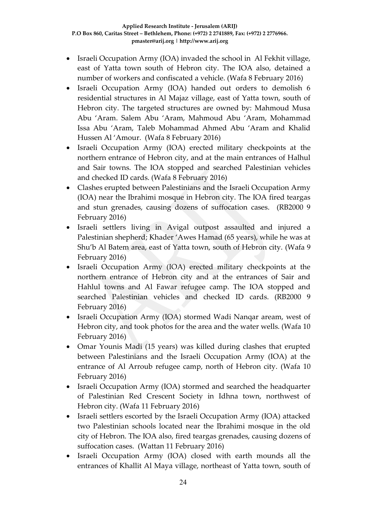- Israeli Occupation Army (IOA) invaded the school in Al Fekhit village, east of Yatta town south of Hebron city. The IOA also, detained a number of workers and confiscated a vehicle. (Wafa 8 February 2016)
- Israeli Occupation Army (IOA) handed out orders to demolish 6 residential structures in Al Majaz village, east of Yatta town, south of Hebron city. The targeted structures are owned by: Mahmoud Musa Abu 'Aram. Salem Abu 'Aram, Mahmoud Abu 'Aram, Mohammad Issa Abu 'Aram, Taleb Mohammad Ahmed Abu 'Aram and Khalid Hussen Al 'Amour. (Wafa 8 February 2016)
- Israeli Occupation Army (IOA) erected military checkpoints at the northern entrance of Hebron city, and at the main entrances of Halhul and Sair towns. The IOA stopped and searched Palestinian vehicles and checked ID cards. (Wafa 8 February 2016)
- Clashes erupted between Palestinians and the Israeli Occupation Army (IOA) near the Ibrahimi mosque in Hebron city. The IOA fired teargas and stun grenades, causing dozens of suffocation cases. (RB2000 9 February 2016)
- Israeli settlers living in Avigal outpost assaulted and injured a Palestinian shepherd; Khader 'Awes Hamad (65 years), while he was at Shu'b Al Batem area, east of Yatta town, south of Hebron city. (Wafa 9 February 2016)
- Israeli Occupation Army (IOA) erected military checkpoints at the northern entrance of Hebron city and at the entrances of Sair and Hahlul towns and Al Fawar refugee camp. The IOA stopped and searched Palestinian vehicles and checked ID cards. (RB2000 9 February 2016)
- Israeli Occupation Army (IOA) stormed Wadi Nanqar aream, west of Hebron city, and took photos for the area and the water wells. (Wafa 10 February 2016)
- Omar Younis Madi (15 years) was killed during clashes that erupted between Palestinians and the Israeli Occupation Army (IOA) at the entrance of Al Arroub refugee camp, north of Hebron city. (Wafa 10 February 2016)
- Israeli Occupation Army (IOA) stormed and searched the headquarter of Palestinian Red Crescent Society in Idhna town, northwest of Hebron city. (Wafa 11 February 2016)
- Israeli settlers escorted by the Israeli Occupation Army (IOA) attacked two Palestinian schools located near the Ibrahimi mosque in the old city of Hebron. The IOA also, fired teargas grenades, causing dozens of suffocation cases. (Wattan 11 February 2016)
- Israeli Occupation Army (IOA) closed with earth mounds all the entrances of Khallit Al Maya village, northeast of Yatta town, south of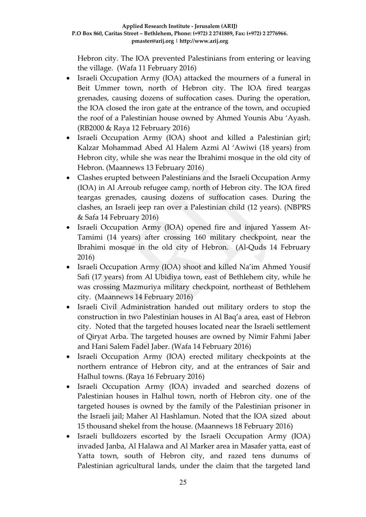Hebron city. The IOA prevented Palestinians from entering or leaving the village. (Wafa 11 February 2016)

- Israeli Occupation Army (IOA) attacked the mourners of a funeral in Beit Ummer town, north of Hebron city. The IOA fired teargas grenades, causing dozens of suffocation cases. During the operation, the IOA closed the iron gate at the entrance of the town, and occupied the roof of a Palestinian house owned by Ahmed Younis Abu 'Ayash. (RB2000 & Raya 12 February 2016)
- Israeli Occupation Army (IOA) shoot and killed a Palestinian girl; Kalzar Mohammad Abed Al Halem Azmi Al 'Awiwi (18 years) from Hebron city, while she was near the Ibrahimi mosque in the old city of Hebron. (Maannews 13 February 2016)
- Clashes erupted between Palestinians and the Israeli Occupation Army (IOA) in Al Arroub refugee camp, north of Hebron city. The IOA fired teargas grenades, causing dozens of suffocation cases. During the clashes, an Israeli jeep ran over a Palestinian child (12 years). (NBPRS & Safa 14 February 2016)
- Israeli Occupation Army (IOA) opened fire and injured Yassem At-Tamimi (14 years) after crossing 160 military checkpoint, near the Ibrahimi mosque in the old city of Hebron. (Al-Quds 14 February 2016)
- Israeli Occupation Army (IOA) shoot and killed Na'im Ahmed Yousif Safi (17 years) from Al Ubidiya town, east of Bethlehem city, while he was crossing Mazmuriya military checkpoint, northeast of Bethlehem city. (Maannews 14 February 2016)
- Israeli Civil Administration handed out military orders to stop the construction in two Palestinian houses in Al Baq'a area, east of Hebron city. Noted that the targeted houses located near the Israeli settlement of Qiryat Arba. The targeted houses are owned by Nimir Fahmi Jaber and Hani Salem Fadel Jaber. (Wafa 14 February 2016)
- Israeli Occupation Army (IOA) erected military checkpoints at the northern entrance of Hebron city, and at the entrances of Sair and Halhul towns. (Raya 16 February 2016)
- Israeli Occupation Army (IOA) invaded and searched dozens of Palestinian houses in Halhul town, north of Hebron city. one of the targeted houses is owned by the family of the Palestinian prisoner in the Israeli jail; Maher Al Hashlamun. Noted that the IOA sized about 15 thousand shekel from the house. (Maannews 18 February 2016)
- Israeli bulldozers escorted by the Israeli Occupation Army (IOA) invaded Janba, Al Halawa and Al Marker area in Masafer yatta, east of Yatta town, south of Hebron city, and razed tens dunums of Palestinian agricultural lands, under the claim that the targeted land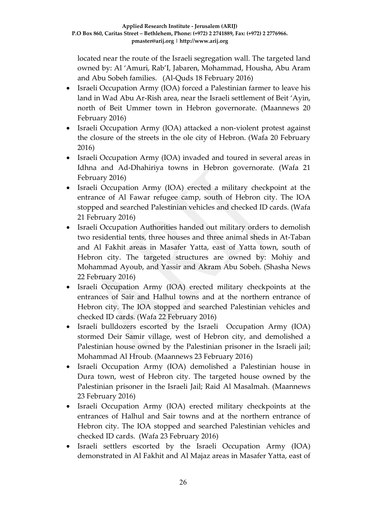located near the route of the Israeli segregation wall. The targeted land owned by: Al 'Amuri, Rab'I, Jabaren, Mohammad, Housha, Abu Aram and Abu Sobeh families. (Al-Quds 18 February 2016)

- Israeli Occupation Army (IOA) forced a Palestinian farmer to leave his land in Wad Abu Ar-Rish area, near the Israeli settlement of Beit 'Ayin, north of Beit Ummer town in Hebron governorate. (Maannews 20 February 2016)
- Israeli Occupation Army (IOA) attacked a non-violent protest against the closure of the streets in the ole city of Hebron. (Wafa 20 February 2016)
- Israeli Occupation Army (IOA) invaded and toured in several areas in Idhna and Ad-Dhahiriya towns in Hebron governorate. (Wafa 21 February 2016)
- Israeli Occupation Army (IOA) erected a military checkpoint at the entrance of Al Fawar refugee camp, south of Hebron city. The IOA stopped and searched Palestinian vehicles and checked ID cards. (Wafa 21 February 2016)
- Israeli Occupation Authorities handed out military orders to demolish two residential tents, three houses and three animal sheds in At-Taban and Al Fakhit areas in Masafer Yatta, east of Yatta town, south of Hebron city. The targeted structures are owned by: Mohiy and Mohammad Ayoub, and Yassir and Akram Abu Sobeh. (Shasha News 22 February 2016)
- Israeli Occupation Army (IOA) erected military checkpoints at the entrances of Sair and Halhul towns and at the northern entrance of Hebron city. The IOA stopped and searched Palestinian vehicles and checked ID cards. (Wafa 22 February 2016)
- Israeli bulldozers escorted by the Israeli Occupation Army (IOA) stormed Deir Samir village, west of Hebron city, and demolished a Palestinian house owned by the Palestinian prisoner in the Israeli jail; Mohammad Al Hroub. (Maannews 23 February 2016)
- Israeli Occupation Army (IOA) demolished a Palestinian house in Dura town, west of Hebron city. The targeted house owned by the Palestinian prisoner in the Israeli Jail; Raid Al Masalmah. (Maannews 23 February 2016)
- Israeli Occupation Army (IOA) erected military checkpoints at the entrances of Halhul and Sair towns and at the northern entrance of Hebron city. The IOA stopped and searched Palestinian vehicles and checked ID cards. (Wafa 23 February 2016)
- Israeli settlers escorted by the Israeli Occupation Army (IOA) demonstrated in Al Fakhit and Al Majaz areas in Masafer Yatta, east of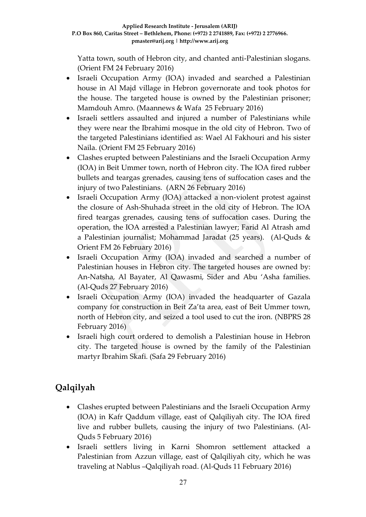Yatta town, south of Hebron city, and chanted anti-Palestinian slogans. (Orient FM 24 February 2016)

- Israeli Occupation Army (IOA) invaded and searched a Palestinian house in Al Majd village in Hebron governorate and took photos for the house. The targeted house is owned by the Palestinian prisoner; Mamdouh Amro. (Maannews & Wafa 25 February 2016)
- Israeli settlers assaulted and injured a number of Palestinians while they were near the Ibrahimi mosque in the old city of Hebron. Two of the targeted Palestinians identified as: Wael Al Fakhouri and his sister Naila. (Orient FM 25 February 2016)
- Clashes erupted between Palestinians and the Israeli Occupation Army (IOA) in Beit Ummer town, north of Hebron city. The IOA fired rubber bullets and teargas grenades, causing tens of suffocation cases and the injury of two Palestinians. (ARN 26 February 2016)
- Israeli Occupation Army (IOA) attacked a non-violent protest against the closure of Ash-Shuhada street in the old city of Hebron. The IOA fired teargas grenades, causing tens of suffocation cases. During the operation, the IOA arrested a Palestinian lawyer; Farid Al Atrash amd a Palestinian journalist; Mohammad Jaradat (25 years). (Al-Quds & Orient FM 26 February 2016)
- Israeli Occupation Army (IOA) invaded and searched a number of Palestinian houses in Hebron city. The targeted houses are owned by: An-Natsha, Al Bayater, Al Qawasmi, Sider and Abu 'Asha families. (Al-Quds 27 February 2016)
- Israeli Occupation Army (IOA) invaded the headquarter of Gazala company for construction in Beit Za'ta area, east of Beit Ummer town, north of Hebron city, and seized a tool used to cut the iron. (NBPRS 28 February 2016)
- Israeli high court ordered to demolish a Palestinian house in Hebron city. The targeted house is owned by the family of the Palestinian martyr Ibrahim Skafi. (Safa 29 February 2016)

# **Qalqilyah**

- Clashes erupted between Palestinians and the Israeli Occupation Army (IOA) in Kafr Qaddum village, east of Qalqiliyah city. The IOA fired live and rubber bullets, causing the injury of two Palestinians. (Al-Quds 5 February 2016)
- Israeli settlers living in Karni Shomron settlement attacked a Palestinian from Azzun village, east of Qalqiliyah city, which he was traveling at Nablus –Qalqiliyah road. (Al-Quds 11 February 2016)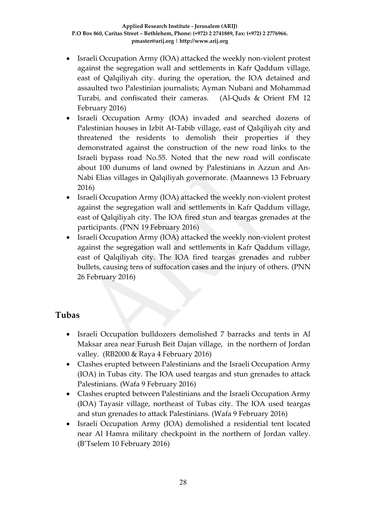- Israeli Occupation Army (IOA) attacked the weekly non-violent protest against the segregation wall and settlements in Kafr Qaddum village, east of Qalqiliyah city. during the operation, the IOA detained and assaulted two Palestinian journalists; Ayman Nubani and Mohammad Turabi, and confiscated their cameras. (Al-Quds & Orient FM 12 February 2016)
- Israeli Occupation Army (IOA) invaded and searched dozens of Palestinian houses in Izbit At-Tabib village, east of Qalqiliyah city and threatened the residents to demolish their properties if they demonstrated against the construction of the new road links to the Israeli bypass road No.55. Noted that the new road will confiscate about 100 dunums of land owned by Palestinians in Azzun and An-Nabi Elias villages in Qalqiliyah governorate. (Maannews 13 February 2016)
- Israeli Occupation Army (IOA) attacked the weekly non-violent protest against the segregation wall and settlements in Kafr Qaddum village, east of Qalqiliyah city. The IOA fired stun and teargas grenades at the participants. (PNN 19 February 2016)
- Israeli Occupation Army (IOA) attacked the weekly non-violent protest against the segregation wall and settlements in Kafr Qaddum village, east of Qalqiliyah city. The IOA fired teargas grenades and rubber bullets, causing tens of suffocation cases and the injury of others. (PNN 26 February 2016)

### **Tubas**

- Israeli Occupation bulldozers demolished 7 barracks and tents in Al Maksar area near Furush Beit Dajan village, in the northern of Jordan valley. (RB2000 & Raya 4 February 2016)
- Clashes erupted between Palestinians and the Israeli Occupation Army (IOA) in Tubas city. The IOA used teargas and stun grenades to attack Palestinians. (Wafa 9 February 2016)
- Clashes erupted between Palestinians and the Israeli Occupation Army (IOA) Tayasir village, northeast of Tubas city. The IOA used teargas and stun grenades to attack Palestinians. (Wafa 9 February 2016)
- Israeli Occupation Army (IOA) demolished a residential tent located near Al Hamra military checkpoint in the northern of Jordan valley. (B'Tselem 10 February 2016)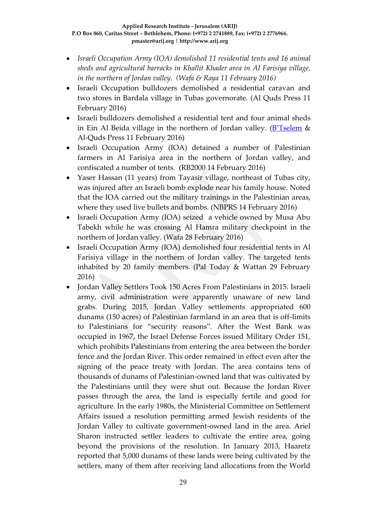- *Israeli Occupation Army (IOA) demolished 11 residential tents and 16 animal sheds and agricultural barracks in Khallit Khader area in Al Farisiya village, in the northern of Jordan valley. (Wafa & Raya 11 February 2016)*
- Israeli Occupation bulldozers demolished a residential caravan and two stores in Bardala village in Tubas governorate. (Al Quds Press 11 February 2016)
- Israeli bulldozers demolished a residential tent and four animal sheds in Ein Al Beida village in the northern of Jordan valley. (B'[Tselem](http://www.btselem.org/arabic/20160211_jordan_valley_demolitions) & Al-Quds Press 11 February 2016)
- Israeli Occupation Army (IOA) detained a number of Palestinian farmers in Al Farisiya area in the northern of Jordan valley, and confiscated a number of tents. (RB2000 14 February 2016)
- Yaser Hassan (11 years) from Tayasir village, northeast of Tubas city, was injured after an Israeli bomb explode near his family house. Noted that the IOA carried out the military trainings in the Palestinian areas, where they used live bullets and bombs. (NBPRS 14 February 2016)
- Israeli Occupation Army (IOA) seized a vehicle owned by Musa Abu Tabekh while he was crossing Al Hamra military checkpoint in the northern of Jordan valley. (Wafa 28 February 2016)
- Israeli Occupation Army (IOA) demolished four residential tents in Al Farisiya village in the northern of Jordan valley. The targeted tents inhabited by 20 family members. (Pal Today & Wattan 29 February 2016)
- Jordan Valley Settlers Took 150 Acres From Palestinians in 2015. Israeli army, civil administration were apparently unaware of new land grabs. During 2015, Jordan Valley settlements appropriated 600 dunams (150 acres) of Palestinian farmland in an area that is off-limits to Palestinians for "security reasons". After the West Bank was occupied in 1967, the Israel Defense Forces issued Military Order 151, which prohibits Palestinians from entering the area between the border fence and the Jordan River. This order remained in effect even after the signing of the peace treaty with Jordan. The area contains tens of thousands of dunams of Palestinian-owned land that was cultivated by the Palestinians until they were shut out. Because the Jordan River passes through the area, the land is especially fertile and good for agriculture. In the early 1980s, the Ministerial Committee on Settlement Affairs issued a resolution permitting armed Jewish residents of the Jordan Valley to cultivate government-owned land in the area. Ariel Sharon instructed settler leaders to cultivate the entire area, going beyond the provisions of the resolution. In January 2013, Haaretz reported that 5,000 dunams of these lands were being cultivated by the settlers, many of them after receiving land allocations from the World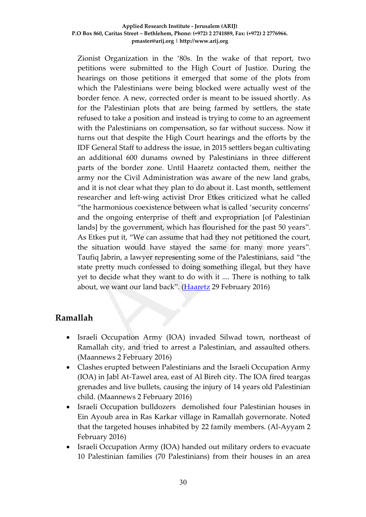Zionist Organization in the '80s. In the wake of that report, two petitions were submitted to the High Court of Justice. During the hearings on those petitions it emerged that some of the plots from which the Palestinians were being blocked were actually west of the border fence. A new, corrected order is meant to be issued shortly. As for the Palestinian plots that are being farmed by settlers, the state refused to take a position and instead is trying to come to an agreement with the Palestinians on compensation, so far without success. Now it turns out that despite the High Court hearings and the efforts by the IDF General Staff to address the issue, in 2015 settlers began cultivating an additional 600 dunams owned by Palestinians in three different parts of the border zone. Until Haaretz contacted them, neither the army nor the Civil Administration was aware of the new land grabs, and it is not clear what they plan to do about it. Last month, settlement researcher and left-wing activist Dror Etkes criticized what he called "the harmonious coexistence between what is called 'security concerns' and the ongoing enterprise of theft and expropriation [of Palestinian lands] by the government, which has flourished for the past 50 years". As Etkes put it, "We can assume that had they not petitioned the court, the situation would have stayed the same for many more years". Taufiq Jabrin, a lawyer representing some of the Palestinians, said "the state pretty much confessed to doing something illegal, but they have yet to decide what they want to do with it .... There is nothing to talk about, we want our land back". [\(Haaretz](http://www.haaretz.com/israel-news/.premium-1.706044) 29 February 2016)

### **Ramallah**

- Israeli Occupation Army (IOA) invaded Silwad town, northeast of Ramallah city, and tried to arrest a Palestinian, and assaulted others. (Maannews 2 February 2016)
- Clashes erupted between Palestinians and the Israeli Occupation Army (IOA) in Jabl At-Tawel area, east of Al Bireh city. The IOA fired teargas grenades and live bullets, causing the injury of 14 years old Palestinian child. (Maannews 2 February 2016)
- Israeli Occupation bulldozers demolished four Palestinian houses in Ein Ayoub area in Ras Karkar village in Ramallah governorate. Noted that the targeted houses inhabited by 22 family members. (Al-Ayyam 2 February 2016)
- Israeli Occupation Army (IOA) handed out military orders to evacuate 10 Palestinian families (70 Palestinians) from their houses in an area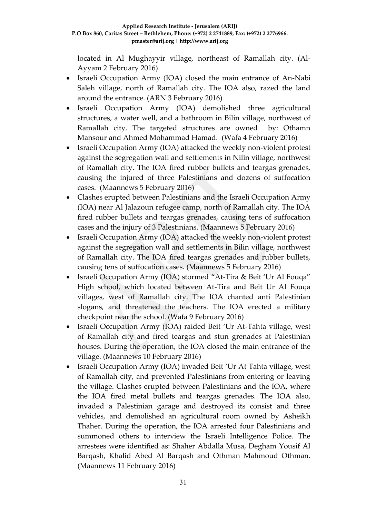located in Al Mughayyir village, northeast of Ramallah city. (Al-Ayyam 2 February 2016)

- Israeli Occupation Army (IOA) closed the main entrance of An-Nabi Saleh village, north of Ramallah city. The IOA also, razed the land around the entrance. (ARN 3 February 2016)
- Israeli Occupation Army (IOA) demolished three agricultural structures, a water well, and a bathroom in Bilin village, northwest of Ramallah city. The targeted structures are owned by: Othamn Mansour and Ahmed Mohammad Hamad. (Wafa 4 February 2016)
- Israeli Occupation Army (IOA) attacked the weekly non-violent protest against the segregation wall and settlements in Nilin village, northwest of Ramallah city. The IOA fired rubber bullets and teargas grenades, causing the injured of three Palestinians and dozens of suffocation cases. (Maannews 5 February 2016)
- Clashes erupted between Palestinians and the Israeli Occupation Army (IOA) near Al Jalazoun refugee camp, north of Ramallah city. The IOA fired rubber bullets and teargas grenades, causing tens of suffocation cases and the injury of 3 Palestinians. (Maannews 5 February 2016)
- Israeli Occupation Army (IOA) attacked the weekly non-violent protest against the segregation wall and settlements in Bilin village, northwest of Ramallah city. The IOA fired teargas grenades and rubber bullets, causing tens of suffocation cases. (Maannews 5 February 2016)
- Israeli Occupation Army (IOA) stormed "At-Tira & Beit 'Ur Al Fouqa" High school, which located between At-Tira and Beit Ur Al Fouqa villages, west of Ramallah city. The IOA chanted anti Palestinian slogans, and threatened the teachers. The IOA erected a military checkpoint near the school. (Wafa 9 February 2016)
- Israeli Occupation Army (IOA) raided Beit 'Ur At-Tahta village, west of Ramallah city and fired teargas and stun grenades at Palestinian houses. During the operation, the IOA closed the main entrance of the village. (Maannews 10 February 2016)
- Israeli Occupation Army (IOA) invaded Beit 'Ur At Tahta village, west of Ramallah city, and prevented Palestinians from entering or leaving the village. Clashes erupted between Palestinians and the IOA, where the IOA fired metal bullets and teargas grenades. The IOA also, invaded a Palestinian garage and destroyed its consist and three vehicles, and demolished an agricultural room owned by Asheikh Thaher. During the operation, the IOA arrested four Palestinians and summoned others to interview the Israeli Intelligence Police. The arrestees were identified as: Shaher Abdalla Musa, Degham Yousif Al Barqash, Khalid Abed Al Barqash and Othman Mahmoud Othman. (Maannews 11 February 2016)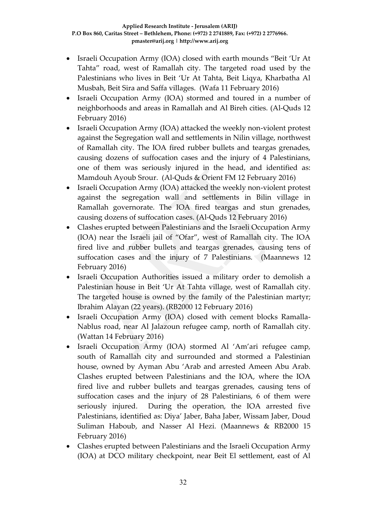- Israeli Occupation Army (IOA) closed with earth mounds "Beit 'Ur At Tahta" road, west of Ramallah city. The targeted road used by the Palestinians who lives in Beit 'Ur At Tahta, Beit Liqya, Kharbatha Al Musbah, Beit Sira and Saffa villages. (Wafa 11 February 2016)
- Israeli Occupation Army (IOA) stormed and toured in a number of neighborhoods and areas in Ramallah and Al Bireh cities. (Al-Quds 12 February 2016)
- Israeli Occupation Army (IOA) attacked the weekly non-violent protest against the Segregation wall and settlements in Nilin village, northwest of Ramallah city. The IOA fired rubber bullets and teargas grenades, causing dozens of suffocation cases and the injury of 4 Palestinians, one of them was seriously injured in the head, and identified as: Mamdouh Ayoub Srour. (Al-Quds & Orient FM 12 February 2016)
- Israeli Occupation Army (IOA) attacked the weekly non-violent protest against the segregation wall and settlements in Bilin village in Ramallah governorate. The IOA fired teargas and stun grenades, causing dozens of suffocation cases. (Al-Quds 12 February 2016)
- Clashes erupted between Palestinians and the Israeli Occupation Army (IOA) near the Israeli jail of "Ofar", west of Ramallah city. The IOA fired live and rubber bullets and teargas grenades, causing tens of suffocation cases and the injury of 7 Palestinians. (Maannews 12 February 2016)
- Israeli Occupation Authorities issued a military order to demolish a Palestinian house in Beit 'Ur At Tahta village, west of Ramallah city. The targeted house is owned by the family of the Palestinian martyr; Ibrahim Alayan (22 years). (RB2000 12 February 2016)
- Israeli Occupation Army (IOA) closed with cement blocks Ramalla-Nablus road, near Al Jalazoun refugee camp, north of Ramallah city. (Wattan 14 February 2016)
- Israeli Occupation Army (IOA) stormed Al 'Am'ari refugee camp, south of Ramallah city and surrounded and stormed a Palestinian house, owned by Ayman Abu 'Arab and arrested Ameen Abu Arab. Clashes erupted between Palestinians and the IOA, where the IOA fired live and rubber bullets and teargas grenades, causing tens of suffocation cases and the injury of 28 Palestinians, 6 of them were seriously injured. During the operation, the IOA arrested five Palestinians, identified as: Diya' Jaber, Baha Jaber, Wissam Jaber, Doud Suliman Haboub, and Nasser Al Hezi. (Maannews & RB2000 15 February 2016)
- Clashes erupted between Palestinians and the Israeli Occupation Army (IOA) at DCO military checkpoint, near Beit El settlement, east of Al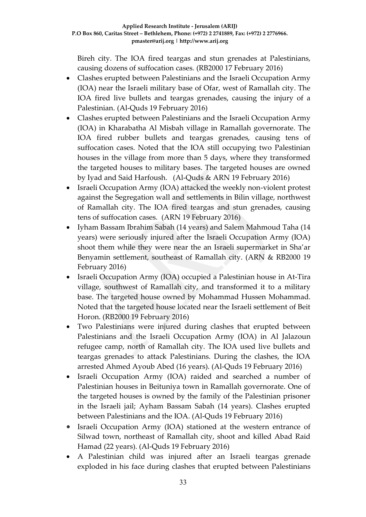Bireh city. The IOA fired teargas and stun grenades at Palestinians, causing dozens of suffocation cases. (RB2000 17 February 2016)

- Clashes erupted between Palestinians and the Israeli Occupation Army (IOA) near the Israeli military base of Ofar, west of Ramallah city. The IOA fired live bullets and teargas grenades, causing the injury of a Palestinian. (Al-Quds 19 February 2016)
- Clashes erupted between Palestinians and the Israeli Occupation Army (IOA) in Kharabatha Al Misbah village in Ramallah governorate. The IOA fired rubber bullets and teargas grenades, causing tens of suffocation cases. Noted that the IOA still occupying two Palestinian houses in the village from more than 5 days, where they transformed the targeted houses to military bases. The targeted houses are owned by Iyad and Said Harfoush. (Al-Quds & ARN 19 February 2016)
- Israeli Occupation Army (IOA) attacked the weekly non-violent protest against the Segregation wall and settlements in Bilin village, northwest of Ramallah city. The IOA fired teargas and stun grenades, causing tens of suffocation cases. (ARN 19 February 2016)
- Iyham Bassam Ibrahim Sabah (14 years) and Salem Mahmoud Taha (14 years) were seriously injured after the Israeli Occupation Army (IOA) shoot them while they were near the an Israeli supermarket in Sha'ar Benyamin settlement, southeast of Ramallah city. (ARN & RB2000 19 February 2016)
- Israeli Occupation Army (IOA) occupied a Palestinian house in At-Tira village, southwest of Ramallah city, and transformed it to a military base. The targeted house owned by Mohammad Hussen Mohammad. Noted that the targeted house located near the Israeli settlement of Beit Horon. (RB2000 19 February 2016)
- Two Palestinians were injured during clashes that erupted between Palestinians and the Israeli Occupation Army (IOA) in Al Jalazoun refugee camp, north of Ramallah city. The IOA used live bullets and teargas grenades to attack Palestinians. During the clashes, the IOA arrested Ahmed Ayoub Abed (16 years). (Al-Quds 19 February 2016)
- Israeli Occupation Army (IOA) raided and searched a number of Palestinian houses in Beituniya town in Ramallah governorate. One of the targeted houses is owned by the family of the Palestinian prisoner in the Israeli jail; Ayham Bassam Sabah (14 years). Clashes erupted between Palestinians and the IOA. (Al-Quds 19 February 2016)
- Israeli Occupation Army (IOA) stationed at the western entrance of Silwad town, northeast of Ramallah city, shoot and killed Abad Raid Hamad (22 years). (Al-Quds 19 February 2016)
- A Palestinian child was injured after an Israeli teargas grenade exploded in his face during clashes that erupted between Palestinians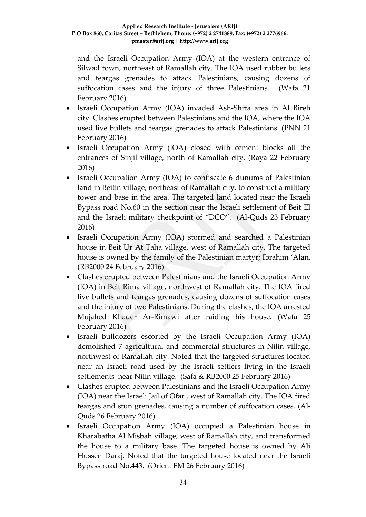and the Israeli Occupation Army (IOA) at the western entrance of Silwad town, northeast of Ramallah city. The IOA used rubber bullets and teargas grenades to attack Palestinians, causing dozens of suffocation cases and the injury of three Palestinians. (Wafa 21 February 2016)

- Israeli Occupation Army (IOA) invaded Ash-Shrfa area in Al Bireh city. Clashes erupted between Palestinians and the IOA, where the IOA used live bullets and teargas grenades to attack Palestinians. (PNN 21 February 2016)
- Israeli Occupation Army (IOA) closed with cement blocks all the entrances of Sinjil village, north of Ramallah city. (Raya 22 February 2016)
- Israeli Occupation Army (IOA) to confiscate 6 dunums of Palestinian land in Beitin village, northeast of Ramallah city, to construct a military tower and base in the area. The targeted land located near the Israeli Bypass road No.60 in the section near the Israeli settlement of Beit El and the Israeli military checkpoint of "DCO". (Al-Quds 23 February 2016)
- Israeli Occupation Army (IOA) stormed and searched a Palestinian house in Beit Ur At Taha village, west of Ramallah city. The targeted house is owned by the family of the Palestinian martyr; Ibrahim 'Alan. (RB2000 24 February 2016)
- Clashes erupted between Palestinians and the Israeli Occupation Army (IOA) in Beit Rima village, northwest of Ramallah city. The IOA fired live bullets and teargas grenades, causing dozens of suffocation cases and the injury of two Palestinians. During the clashes, the IOA arrested Mujahed Khader Ar-Rimawi after raiding his house. (Wafa 25 February 2016)
- Israeli bulldozers escorted by the Israeli Occupation Army (IOA) demolished 7 agricultural and commercial structures in Nilin village, northwest of Ramallah city. Noted that the targeted structures located near an Israeli road used by the Israeli settlers living in the Israeli settlements near Nilin village. (Safa & RB2000 25 February 2016)
- Clashes erupted between Palestinians and the Israeli Occupation Army (IOA) near the Israeli Jail of Ofar , west of Ramallah city. The IOA fired teargas and stun grenades, causing a number of suffocation cases. (Al-Quds 26 February 2016)
- Israeli Occupation Army (IOA) occupied a Palestinian house in Kharabatha Al Misbah village, west of Ramallah city, and transformed the house to a military base. The targeted house is owned by Ali Hussen Daraj. Noted that the targeted house located near the Israeli Bypass road No.443. (Orient FM 26 February 2016)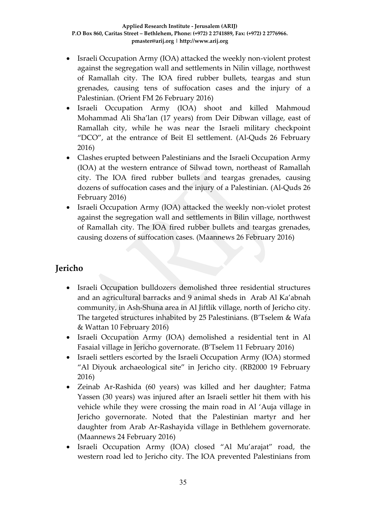- Israeli Occupation Army (IOA) attacked the weekly non-violent protest against the segregation wall and settlements in Nilin village, northwest of Ramallah city. The IOA fired rubber bullets, teargas and stun grenades, causing tens of suffocation cases and the injury of a Palestinian. (Orient FM 26 February 2016)
- Israeli Occupation Army (IOA) shoot and killed Mahmoud Mohammad Ali Sha'lan (17 years) from Deir Dibwan village, east of Ramallah city, while he was near the Israeli military checkpoint "DCO", at the entrance of Beit El settlement. (Al-Quds 26 February 2016)
- Clashes erupted between Palestinians and the Israeli Occupation Army (IOA) at the western entrance of Silwad town, northeast of Ramallah city. The IOA fired rubber bullets and teargas grenades, causing dozens of suffocation cases and the injury of a Palestinian. (Al-Quds 26 February 2016)
- Israeli Occupation Army (IOA) attacked the weekly non-violet protest against the segregation wall and settlements in Bilin village, northwest of Ramallah city. The IOA fired rubber bullets and teargas grenades, causing dozens of suffocation cases. (Maannews 26 February 2016)

## **Jericho**

- Israeli Occupation bulldozers demolished three residential structures and an agricultural barracks and 9 animal sheds in Arab Al Ka'abnah community, in Ash-Shuna area in Al Jiftlik village, north of Jericho city. The targeted structures inhabited by 25 Palestinians. (B'Tselem & Wafa & Wattan 10 February 2016)
- Israeli Occupation Army (IOA) demolished a residential tent in Al Fasaial village in Jericho governorate. (B'Tselem 11 February 2016)
- Israeli settlers escorted by the Israeli Occupation Army (IOA) stormed "Al Diyouk archaeological site" in Jericho city. (RB2000 19 February 2016)
- Zeinab Ar-Rashida (60 years) was killed and her daughter; Fatma Yassen (30 years) was injured after an Israeli settler hit them with his vehicle while they were crossing the main road in Al 'Auja village in Jericho governorate. Noted that the Palestinian martyr and her daughter from Arab Ar-Rashayida village in Bethlehem governorate. (Maannews 24 February 2016)
- Israeli Occupation Army (IOA) closed "Al Mu'arajat" road, the western road led to Jericho city. The IOA prevented Palestinians from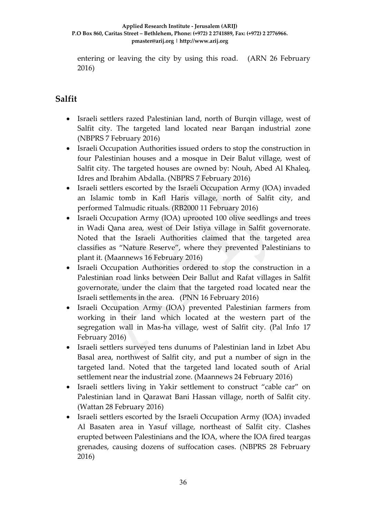entering or leaving the city by using this road. (ARN 26 February 2016)

## **Salfit**

- Israeli settlers razed Palestinian land, north of Burqin village, west of Salfit city. The targeted land located near Barqan industrial zone (NBPRS 7 February 2016)
- Israeli Occupation Authorities issued orders to stop the construction in four Palestinian houses and a mosque in Deir Balut village, west of Salfit city. The targeted houses are owned by: Nouh, Abed Al Khaleq, Idres and Ibrahim Abdalla. (NBPRS 7 February 2016)
- Israeli settlers escorted by the Israeli Occupation Army (IOA) invaded an Islamic tomb in Kafl Haris village, north of Salfit city, and performed Talmudic rituals. (RB2000 11 February 2016)
- Israeli Occupation Army (IOA) uprooted 100 olive seedlings and trees in Wadi Qana area, west of Deir Istiya village in Salfit governorate. Noted that the Israeli Authorities claimed that the targeted area classifies as "Nature Reserve", where they prevented Palestinians to plant it. (Maannews 16 February 2016)
- Israeli Occupation Authorities ordered to stop the construction in a Palestinian road links between Deir Ballut and Rafat villages in Salfit governorate, under the claim that the targeted road located near the Israeli settlements in the area. (PNN 16 February 2016)
- Israeli Occupation Army (IOA) prevented Palestinian farmers from working in their land which located at the western part of the segregation wall in Mas-ha village, west of Salfit city. (Pal Info 17 February 2016)
- Israeli settlers surveyed tens dunums of Palestinian land in Izbet Abu Basal area, northwest of Salfit city, and put a number of sign in the targeted land. Noted that the targeted land located south of Arial settlement near the industrial zone. (Maannews 24 February 2016)
- Israeli settlers living in Yakir settlement to construct "cable car" on Palestinian land in Qarawat Bani Hassan village, north of Salfit city. (Wattan 28 February 2016)
- Israeli settlers escorted by the Israeli Occupation Army (IOA) invaded Al Basaten area in Yasuf village, northeast of Salfit city. Clashes erupted between Palestinians and the IOA, where the IOA fired teargas grenades, causing dozens of suffocation cases. (NBPRS 28 February 2016)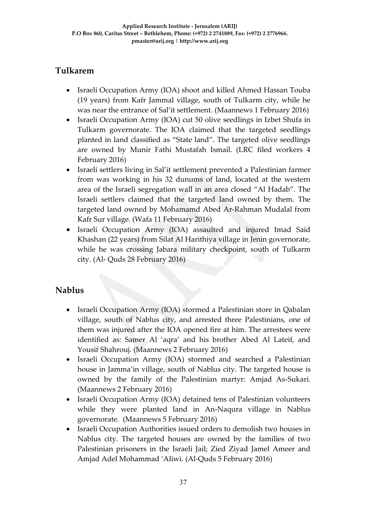## **Tulkarem**

- Israeli Occupation Army (IOA) shoot and killed Ahmed Hassan Touba (19 years) from Kafr Jammal village, south of Tulkarm city, while he was near the entrance of Sal'it settlement. (Maannews 1 February 2016)
- Israeli Occupation Army (IOA) cut 50 olive seedlings in Izbet Shufa in Tulkarm governorate. The IOA claimed that the targeted seedlings planted in land classified as "State land". The targeted olive seedlings are owned by Munir Fathi Mustafah Ismail. (LRC filed workers 4 February 2016)
- Israeli settlers living in Sal'it settlement prevented a Palestinian farmer from was working in his 32 dunums of land, located at the western area of the Israeli segregation wall in an area closed "Al Hadab". The Israeli settlers claimed that the targeted land owned by them. The targeted land owned by Mohamamd Abed Ar-Rahman Mudalal from Kafr Sur village. (Wafa 11 February 2016)
- Israeli Occupation Army (IOA) assaulted and injured Imad Said Khashan (22 years) from Silat Al Harithiya village in Jenin governorate, while he was crossing Jabara military checkpoint, south of Tulkarm city. (Al- Quds 28 February 2016)

## **Nablus**

- Israeli Occupation Army (IOA) stormed a Palestinian store in Qabalan village, south of Nablus city, and arrested three Palestinians, one of them was injured after the IOA opened fire at him. The arrestees were identified as: Samer Al 'aqra' and his brother Abed Al Lateif, and Yousif Shahrouj. (Maannews 2 February 2016)
- Israeli Occupation Army (IOA) stormed and searched a Palestinian house in Jamma'in village, south of Nablus city. The targeted house is owned by the family of the Palestinian martyr: Amjad As-Sukari. (Maannews 2 February 2016)
- Israeli Occupation Army (IOA) detained tens of Palestinian volunteers while they were planted land in An-Naqura village in Nablus governorate. (Maannews 5 February 2016)
- Israeli Occupation Authorities issued orders to demolish two houses in Nablus city. The targeted houses are owned by the families of two Palestinian prisoners in the Israeli Jail; Zied Ziyad Jamel Ameer and Amjad Adel Mohammad 'Aliwi. (Al-Quds 5 February 2016)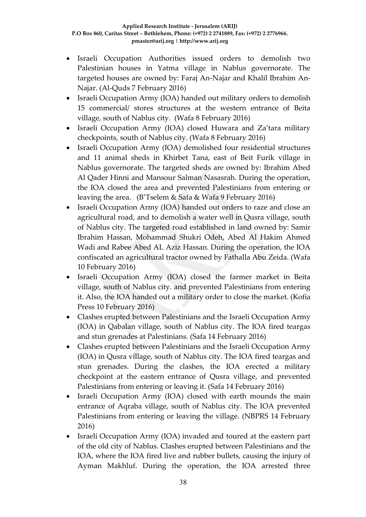- Israeli Occupation Authorities issued orders to demolish two Palestinian houses in Yatma village in Nablus governorate. The targeted houses are owned by: Faraj An-Najar and Khalil Ibrahim An-Najar. (Al-Quds 7 February 2016)
- Israeli Occupation Army (IOA) handed out military orders to demolish 15 commercial/ stores structures at the western entrance of Beita village, south of Nablus city. (Wafa 8 February 2016)
- Israeli Occupation Army (IOA) closed Huwara and Za'tara military checkpoints, south of Nablus city. (Wafa 8 February 2016)
- Israeli Occupation Army (IOA) demolished four residential structures and 11 animal sheds in Khirbet Tana, east of Beit Furik village in Nablus governorate. The targeted sheds are owned by: Ibrahim Abed Al Qader Hinni and Mansour Salman Nasasrah. During the operation, the IOA closed the area and prevented Palestinians from entering or leaving the area. (B'Tselem & Safa & Wafa 9 February 2016)
- Israeli Occupation Army (IOA) handed out orders to raze and close an agricultural road, and to demolish a water well in Qusra village, south of Nablus city. The targeted road established in land owned by: Samir Ibrahim Hassan, Mohammad Shukri Odeh, Abed Al Hakim Ahmed Wadi and Rabee Abed AL Aziz Hassan. During the operation, the IOA confiscated an agricultural tractor owned by Fathalla Abu Zeida. (Wafa 10 February 2016)
- Israeli Occupation Army (IOA) closed the farmer market in Beita village, south of Nablus city. and prevented Palestinians from entering it. Also, the IOA handed out a military order to close the market. (Kofia Press 10 February 2016)
- Clashes erupted between Palestinians and the Israeli Occupation Army (IOA) in Qabalan village, south of Nablus city. The IOA fired teargas and stun grenades at Palestinians. (Safa 14 February 2016)
- Clashes erupted between Palestinians and the Israeli Occupation Army (IOA) in Qusra village, south of Nablus city. The IOA fired teargas and stun grenades. During the clashes, the IOA erected a military checkpoint at the eastern entrance of Qusra village, and prevented Palestinians from entering or leaving it. (Safa 14 February 2016)
- Israeli Occupation Army (IOA) closed with earth mounds the main entrance of Aqraba village, south of Nablus city. The IOA prevented Palestinians from entering or leaving the village. (NBPRS 14 February 2016)
- Israeli Occupation Army (IOA) invaded and toured at the eastern part of the old city of Nablus. Clashes erupted between Palestinians and the IOA, where the IOA fired live and rubber bullets, causing the injury of Ayman Makhluf. During the operation, the IOA arrested three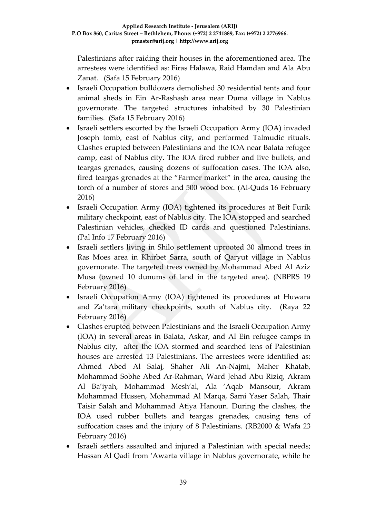Palestinians after raiding their houses in the aforementioned area. The arrestees were identified as: Firas Halawa, Raid Hamdan and Ala Abu Zanat. (Safa 15 February 2016)

- Israeli Occupation bulldozers demolished 30 residential tents and four animal sheds in Ein Ar-Rashash area near Duma village in Nablus governorate. The targeted structures inhabited by 30 Palestinian families. (Safa 15 February 2016)
- Israeli settlers escorted by the Israeli Occupation Army (IOA) invaded Joseph tomb, east of Nablus city, and performed Talmudic rituals. Clashes erupted between Palestinians and the IOA near Balata refugee camp, east of Nablus city. The IOA fired rubber and live bullets, and teargas grenades, causing dozens of suffocation cases. The IOA also, fired teargas grenades at the "Farmer market" in the area, causing the torch of a number of stores and 500 wood box. (Al-Quds 16 February 2016)
- Israeli Occupation Army (IOA) tightened its procedures at Beit Furik military checkpoint, east of Nablus city. The IOA stopped and searched Palestinian vehicles, checked ID cards and questioned Palestinians. (Pal Info 17 February 2016)
- Israeli settlers living in Shilo settlement uprooted 30 almond trees in Ras Moes area in Khirbet Sarra, south of Qaryut village in Nablus governorate. The targeted trees owned by Mohammad Abed Al Aziz Musa (owned 10 dunums of land in the targeted area). (NBPRS 19 February 2016)
- Israeli Occupation Army (IOA) tightened its procedures at Huwara and Za'tara military checkpoints, south of Nablus city. (Raya 22 February 2016)
- Clashes erupted between Palestinians and the Israeli Occupation Army (IOA) in several areas in Balata, Askar, and Al Ein refugee camps in Nablus city, after the IOA stormed and searched tens of Palestinian houses are arrested 13 Palestinians. The arrestees were identified as: Ahmed Abed Al Salaj, Shaher Ali An-Najmi, Maher Khatab, Mohammad Sobhe Abed Ar-Rahman, Ward Jehad Abu Riziq, Akram Al Ba'iyah, Mohammad Mesh'al, Ala 'Aqab Mansour, Akram Mohammad Hussen, Mohammad Al Marqa, Sami Yaser Salah, Thair Taisir Salah and Mohammad Atiya Hanoun. During the clashes, the IOA used rubber bullets and teargas grenades, causing tens of suffocation cases and the injury of 8 Palestinians. (RB2000 & Wafa 23 February 2016)
- Israeli settlers assaulted and injured a Palestinian with special needs; Hassan Al Qadi from 'Awarta village in Nablus governorate, while he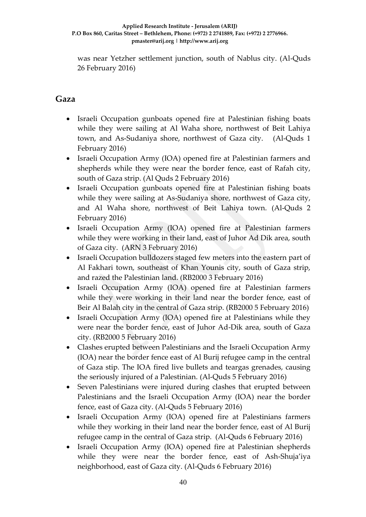was near Yetzher settlement junction, south of Nablus city. (Al-Quds 26 February 2016)

### **Gaza**

- Israeli Occupation gunboats opened fire at Palestinian fishing boats while they were sailing at Al Waha shore, northwest of Beit Lahiya town, and As-Sudaniya shore, northwest of Gaza city. (Al-Quds 1 February 2016)
- Israeli Occupation Army (IOA) opened fire at Palestinian farmers and shepherds while they were near the border fence, east of Rafah city, south of Gaza strip. (Al Quds 2 February 2016)
- Israeli Occupation gunboats opened fire at Palestinian fishing boats while they were sailing at As-Sudaniya shore, northwest of Gaza city, and Al Waha shore, northwest of Beit Lahiya town. (Al-Quds 2 February 2016)
- Israeli Occupation Army (IOA) opened fire at Palestinian farmers while they were working in their land, east of Juhor Ad Dik area, south of Gaza city. (ARN 3 February 2016)
- Israeli Occupation bulldozers staged few meters into the eastern part of Al Fakhari town, southeast of Khan Younis city, south of Gaza strip, and razed the Palestinian land. (RB2000 3 February 2016)
- Israeli Occupation Army (IOA) opened fire at Palestinian farmers while they were working in their land near the border fence, east of Beir Al Balah city in the central of Gaza strip. (RB2000 5 February 2016)
- Israeli Occupation Army (IOA) opened fire at Palestinians while they were near the border fence, east of Juhor Ad-Dik area, south of Gaza city. (RB2000 5 February 2016)
- Clashes erupted between Palestinians and the Israeli Occupation Army (IOA) near the border fence east of Al Burij refugee camp in the central of Gaza stip. The IOA fired live bullets and teargas grenades, causing the seriously injured of a Palestinian. (Al-Quds 5 February 2016)
- Seven Palestinians were injured during clashes that erupted between Palestinians and the Israeli Occupation Army (IOA) near the border fence, east of Gaza city. (Al-Quds 5 February 2016)
- Israeli Occupation Army (IOA) opened fire at Palestinians farmers while they working in their land near the border fence, east of Al Burij refugee camp in the central of Gaza strip. (Al-Quds 6 February 2016)
- Israeli Occupation Army (IOA) opened fire at Palestinian shepherds while they were near the border fence, east of Ash-Shuja'iya neighborhood, east of Gaza city. (Al-Quds 6 February 2016)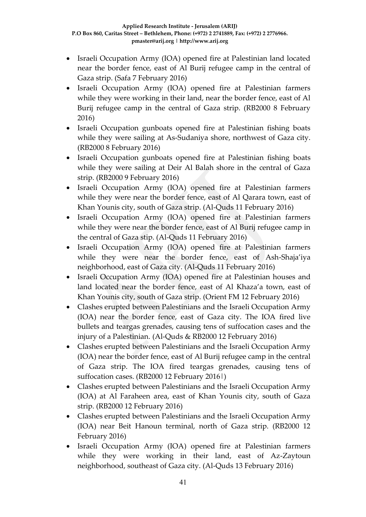- Israeli Occupation Army (IOA) opened fire at Palestinian land located near the border fence, east of Al Burij refugee camp in the central of Gaza strip. (Safa 7 February 2016)
- Israeli Occupation Army (IOA) opened fire at Palestinian farmers while they were working in their land, near the border fence, east of Al Burij refugee camp in the central of Gaza strip. (RB2000 8 February 2016)
- Israeli Occupation gunboats opened fire at Palestinian fishing boats while they were sailing at As-Sudaniya shore, northwest of Gaza city. (RB2000 8 February 2016)
- Israeli Occupation gunboats opened fire at Palestinian fishing boats while they were sailing at Deir Al Balah shore in the central of Gaza strip. (RB2000 9 February 2016)
- Israeli Occupation Army (IOA) opened fire at Palestinian farmers while they were near the border fence, east of Al Qarara town, east of Khan Younis city, south of Gaza strip. (Al-Quds 11 February 2016)
- Israeli Occupation Army (IOA) opened fire at Palestinian farmers while they were near the border fence, east of Al Burij refugee camp in the central of Gaza stip. (Al-Quds 11 February 2016)
- Israeli Occupation Army (IOA) opened fire at Palestinian farmers while they were near the border fence, east of Ash-Shaja'iya neighborhood, east of Gaza city. (Al-Quds 11 February 2016)
- Israeli Occupation Army (IOA) opened fire at Palestinian houses and land located near the border fence, east of Al Khaza'a town, east of Khan Younis city, south of Gaza strip. (Orient FM 12 February 2016)
- Clashes erupted between Palestinians and the Israeli Occupation Army (IOA) near the border fence, east of Gaza city. The IOA fired live bullets and teargas grenades, causing tens of suffocation cases and the injury of a Palestinian. (Al-Quds & RB2000 12 February 2016)
- Clashes erupted between Palestinians and the Israeli Occupation Army (IOA) near the border fence, east of Al Burij refugee camp in the central of Gaza strip. The IOA fired teargas grenades, causing tens of suffocation cases. (RB2000 12 February 2016|)
- Clashes erupted between Palestinians and the Israeli Occupation Army (IOA) at Al Faraheen area, east of Khan Younis city, south of Gaza strip. (RB2000 12 February 2016)
- Clashes erupted between Palestinians and the Israeli Occupation Army (IOA) near Beit Hanoun terminal, north of Gaza strip. (RB2000 12 February 2016)
- Israeli Occupation Army (IOA) opened fire at Palestinian farmers while they were working in their land, east of Az-Zaytoun neighborhood, southeast of Gaza city. (Al-Quds 13 February 2016)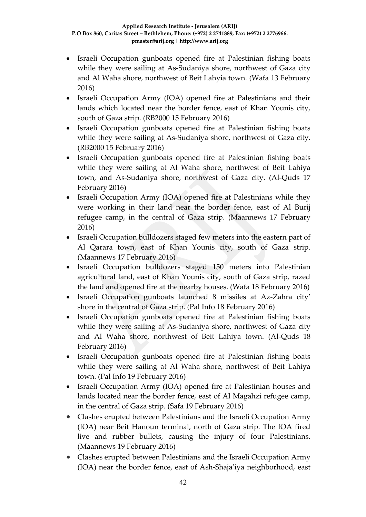- Israeli Occupation gunboats opened fire at Palestinian fishing boats while they were sailing at As-Sudaniya shore, northwest of Gaza city and Al Waha shore, northwest of Beit Lahyia town. (Wafa 13 February 2016)
- Israeli Occupation Army (IOA) opened fire at Palestinians and their lands which located near the border fence, east of Khan Younis city, south of Gaza strip. (RB2000 15 February 2016)
- Israeli Occupation gunboats opened fire at Palestinian fishing boats while they were sailing at As-Sudaniya shore, northwest of Gaza city. (RB2000 15 February 2016)
- Israeli Occupation gunboats opened fire at Palestinian fishing boats while they were sailing at Al Waha shore, northwest of Beit Lahiya town, and As-Sudaniya shore, northwest of Gaza city. (Al-Quds 17 February 2016)
- Israeli Occupation Army (IOA) opened fire at Palestinians while they were working in their land near the border fence, east of Al Burij refugee camp, in the central of Gaza strip. (Maannews 17 February 2016)
- Israeli Occupation bulldozers staged few meters into the eastern part of Al Qarara town, east of Khan Younis city, south of Gaza strip. (Maannews 17 February 2016)
- Israeli Occupation bulldozers staged 150 meters into Palestinian agricultural land, east of Khan Younis city, south of Gaza strip, razed the land and opened fire at the nearby houses. (Wafa 18 February 2016)
- Israeli Occupation gunboats launched 8 missiles at Az-Zahra city' shore in the central of Gaza strip. (Pal Info 18 February 2016)
- Israeli Occupation gunboats opened fire at Palestinian fishing boats while they were sailing at As-Sudaniya shore, northwest of Gaza city and Al Waha shore, northwest of Beit Lahiya town. (Al-Quds 18 February 2016)
- Israeli Occupation gunboats opened fire at Palestinian fishing boats while they were sailing at Al Waha shore, northwest of Beit Lahiya town. (Pal Info 19 February 2016)
- Israeli Occupation Army (IOA) opened fire at Palestinian houses and lands located near the border fence, east of Al Magahzi refugee camp, in the central of Gaza strip. (Safa 19 February 2016)
- Clashes erupted between Palestinians and the Israeli Occupation Army (IOA) near Beit Hanoun terminal, north of Gaza strip. The IOA fired live and rubber bullets, causing the injury of four Palestinians. (Maannews 19 February 2016)
- Clashes erupted between Palestinians and the Israeli Occupation Army (IOA) near the border fence, east of Ash-Shaja'iya neighborhood, east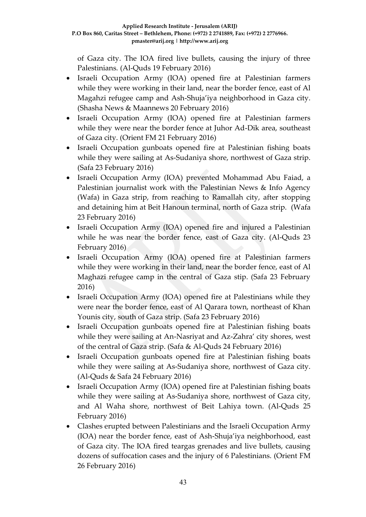of Gaza city. The IOA fired live bullets, causing the injury of three Palestinians. (Al-Quds 19 February 2016)

- Israeli Occupation Army (IOA) opened fire at Palestinian farmers while they were working in their land, near the border fence, east of Al Magahzi refugee camp and Ash-Shuja'iya neighborhood in Gaza city. (Shasha News & Maannews 20 February 2016)
- Israeli Occupation Army (IOA) opened fire at Palestinian farmers while they were near the border fence at Juhor Ad-Dik area, southeast of Gaza city. (Orient FM 21 February 2016)
- Israeli Occupation gunboats opened fire at Palestinian fishing boats while they were sailing at As-Sudaniya shore, northwest of Gaza strip. (Safa 23 February 2016)
- Israeli Occupation Army (IOA) prevented Mohammad Abu Faiad, a Palestinian journalist work with the Palestinian News & Info Agency (Wafa) in Gaza strip, from reaching to Ramallah city, after stopping and detaining him at Beit Hanoun terminal, north of Gaza strip. (Wafa 23 February 2016)
- Israeli Occupation Army (IOA) opened fire and injured a Palestinian while he was near the border fence, east of Gaza city. (Al-Quds 23 February 2016)
- Israeli Occupation Army (IOA) opened fire at Palestinian farmers while they were working in their land, near the border fence, east of Al Maghazi refugee camp in the central of Gaza stip. (Safa 23 February 2016)
- Israeli Occupation Army (IOA) opened fire at Palestinians while they were near the border fence, east of Al Qarara town, northeast of Khan Younis city, south of Gaza strip. (Safa 23 February 2016)
- Israeli Occupation gunboats opened fire at Palestinian fishing boats while they were sailing at An-Nasriyat and Az-Zahra' city shores, west of the central of Gaza strip. (Safa & Al-Quds 24 February 2016)
- Israeli Occupation gunboats opened fire at Palestinian fishing boats while they were sailing at As-Sudaniya shore, northwest of Gaza city. (Al-Quds & Safa 24 February 2016)
- Israeli Occupation Army (IOA) opened fire at Palestinian fishing boats while they were sailing at As-Sudaniya shore, northwest of Gaza city, and Al Waha shore, northwest of Beit Lahiya town. (Al-Quds 25 February 2016)
- Clashes erupted between Palestinians and the Israeli Occupation Army (IOA) near the border fence, east of Ash-Shuja'iya neighborhood, east of Gaza city. The IOA fired teargas grenades and live bullets, causing dozens of suffocation cases and the injury of 6 Palestinians. (Orient FM 26 February 2016)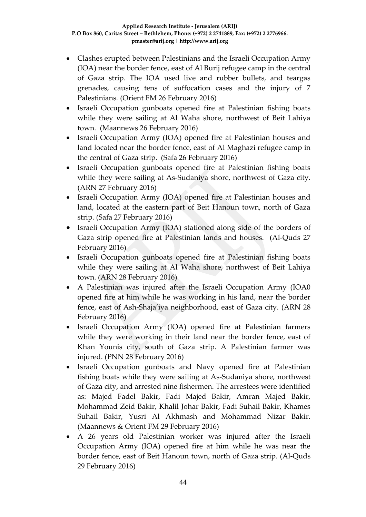- Clashes erupted between Palestinians and the Israeli Occupation Army (IOA) near the border fence, east of Al Burij refugee camp in the central of Gaza strip. The IOA used live and rubber bullets, and teargas grenades, causing tens of suffocation cases and the injury of 7 Palestinians. (Orient FM 26 February 2016)
- Israeli Occupation gunboats opened fire at Palestinian fishing boats while they were sailing at Al Waha shore, northwest of Beit Lahiya town. (Maannews 26 February 2016)
- Israeli Occupation Army (IOA) opened fire at Palestinian houses and land located near the border fence, east of Al Maghazi refugee camp in the central of Gaza strip. (Safa 26 February 2016)
- Israeli Occupation gunboats opened fire at Palestinian fishing boats while they were sailing at As-Sudaniya shore, northwest of Gaza city. (ARN 27 February 2016)
- Israeli Occupation Army (IOA) opened fire at Palestinian houses and land, located at the eastern part of Beit Hanoun town, north of Gaza strip. (Safa 27 February 2016)
- Israeli Occupation Army (IOA) stationed along side of the borders of Gaza strip opened fire at Palestinian lands and houses. (Al-Quds 27 February 2016)
- Israeli Occupation gunboats opened fire at Palestinian fishing boats while they were sailing at Al Waha shore, northwest of Beit Lahiya town. (ARN 28 February 2016)
- A Palestinian was injured after the Israeli Occupation Army (IOA0 opened fire at him while he was working in his land, near the border fence, east of Ash-Shaja'iya neighborhood, east of Gaza city. (ARN 28 February 2016)
- Israeli Occupation Army (IOA) opened fire at Palestinian farmers while they were working in their land near the border fence, east of Khan Younis city, south of Gaza strip. A Palestinian farmer was injured. (PNN 28 February 2016)
- Israeli Occupation gunboats and Navy opened fire at Palestinian fishing boats while they were sailing at As-Sudaniya shore, northwest of Gaza city, and arrested nine fishermen. The arrestees were identified as: Majed Fadel Bakir, Fadi Majed Bakir, Amran Majed Bakir, Mohammad Zeid Bakir, Khalil Johar Bakir, Fadi Suhail Bakir, Khames Suhail Bakir, Yusri Al Akhmash and Mohammad Nizar Bakir. (Maannews & Orient FM 29 February 2016)
- A 26 years old Palestinian worker was injured after the Israeli Occupation Army (IOA) opened fire at him while he was near the border fence, east of Beit Hanoun town, north of Gaza strip. (Al-Quds 29 February 2016)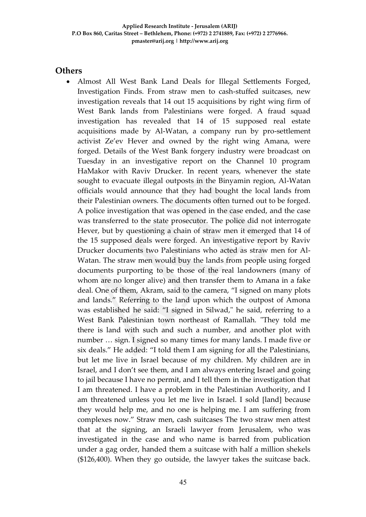#### **Others**

 Almost All West Bank Land Deals for Illegal Settlements Forged, Investigation Finds. From straw men to cash-stuffed suitcases, new investigation reveals that 14 out 15 acquisitions by right wing firm of West Bank lands from Palestinians were forged. A fraud squad investigation has revealed that 14 of 15 supposed real estate acquisitions made by Al-Watan, a company run by pro-settlement activist Ze'ev Hever and owned by the right wing Amana, were forged. Details of the West Bank forgery industry were broadcast on Tuesday in an investigative report on the Channel 10 program HaMakor with Raviv Drucker. In recent years, whenever the state sought to evacuate illegal outposts in the Binyamin region, Al-Watan officials would announce that they had bought the local lands from their Palestinian owners. The documents often turned out to be forged. A police investigation that was opened in the case ended, and the case was transferred to the state prosecutor. The police did not interrogate Hever, but by questioning a chain of straw men it emerged that 14 of the 15 supposed deals were forged. An investigative report by Raviv Drucker documents two Palestinians who acted as straw men for Al-Watan. The straw men would buy the lands from people using forged documents purporting to be those of the real landowners (many of whom are no longer alive) and then transfer them to Amana in a fake deal. One of them, Akram, said to the camera, "I signed on many plots and lands." Referring to the land upon which the outpost of Amona was established he said: "I signed in Silwad," he said, referring to a West Bank Palestinian town northeast of Ramallah. "They told me there is land with such and such a number, and another plot with number … sign. I signed so many times for many lands. I made five or six deals." He added: "I told them I am signing for all the Palestinians, but let me live in Israel because of my children. My children are in Israel, and I don't see them, and I am always entering Israel and going to jail because I have no permit, and I tell them in the investigation that I am threatened. I have a problem in the Palestinian Authority, and I am threatened unless you let me live in Israel. I sold [land] because they would help me, and no one is helping me. I am suffering from complexes now." Straw men, cash suitcases The two straw men attest that at the signing, an Israeli lawyer from Jerusalem, who was investigated in the case and who name is barred from publication under a gag order, handed them a suitcase with half a million shekels (\$126,400). When they go outside, the lawyer takes the suitcase back.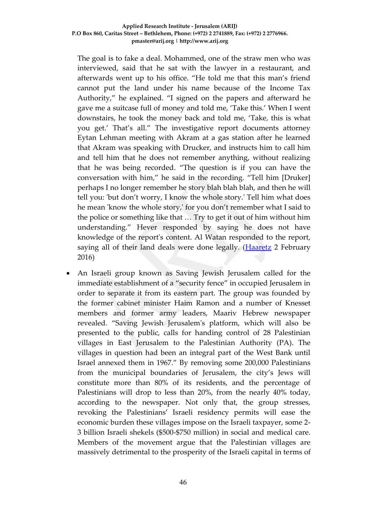The goal is to fake a deal. Mohammed, one of the straw men who was interviewed, said that he sat with the lawyer in a restaurant, and afterwards went up to his office. "He told me that this man's friend cannot put the land under his name because of the Income Tax Authority," he explained. "I signed on the papers and afterward he gave me a suitcase full of money and told me, 'Take this.' When I went downstairs, he took the money back and told me, 'Take, this is what you get.' That's all." The investigative report documents attorney Eytan Lehman meeting with Akram at a gas station after he learned that Akram was speaking with Drucker, and instructs him to call him and tell him that he does not remember anything, without realizing that he was being recorded. "The question is if you can have the conversation with him," he said in the recording. "Tell him [Druker] perhaps I no longer remember he story blah blah blah, and then he will tell you: 'but don't worry, I know the whole story.' Tell him what does he mean 'know the whole story,' for you don't remember what I said to the police or something like that … Try to get it out of him without him understanding." Hever responded by saying he does not have knowledge of the report's content. Al Watan responded to the report, saying all of their land deals were done legally. (**Haaretz** 2 February 2016)

 An Israeli group known as Saving Jewish Jerusalem called for the immediate establishment of a "security fence" in occupied Jerusalem in order to separate it from its eastern part. The group was founded by the former cabinet minister Haim Ramon and a number of Knesset members and former army leaders, Maariv Hebrew newspaper revealed. "Saving Jewish Jerusalem's platform, which will also be presented to the public, calls for handing control of 28 Palestinian villages in East Jerusalem to the Palestinian Authority (PA). The villages in question had been an integral part of the West Bank until Israel annexed them in 1967." By removing some 200,000 Palestinians from the municipal boundaries of Jerusalem, the city's Jews will constitute more than 80% of its residents, and the percentage of Palestinians will drop to less than 20%, from the nearly 40% today, according to the newspaper. Not only that, the group stresses, revoking the Palestinians' Israeli residency permits will ease the economic burden these villages impose on the Israeli taxpayer, some 2- 3 billion Israeli shekels (\$500-\$750 million) in social and medical care. Members of the movement argue that the Palestinian villages are massively detrimental to the prosperity of the Israeli capital in terms of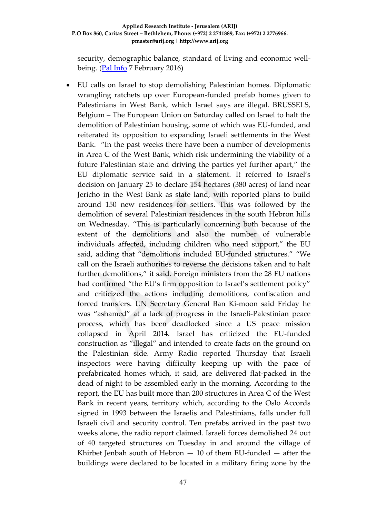security, demographic balance, standard of living and economic wellbeing. [\(Pal Info](http://english.palinfo.com/site/pages/details.aspx?itemid=76610) 7 February 2016)

 EU calls on Israel to stop demolishing Palestinian homes. Diplomatic wrangling ratchets up over European-funded prefab homes given to Palestinians in West Bank, which Israel says are illegal. BRUSSELS, Belgium – The European Union on Saturday called on Israel to halt the demolition of Palestinian housing, some of which was EU-funded, and reiterated its opposition to expanding Israeli settlements in the West Bank. "In the past weeks there have been a number of developments in Area C of the West Bank, which risk undermining the viability of a future Palestinian state and driving the parties yet further apart," the EU diplomatic service said in a statement. It referred to Israel's decision on January 25 to declare 154 hectares (380 acres) of land near Jericho in the West Bank as state land, with reported plans to build around 150 new residences for settlers. This was followed by the demolition of several Palestinian residences in the south Hebron hills on Wednesday. "This is particularly concerning both because of the extent of the demolitions and also the number of vulnerable individuals affected, including children who need support," the EU said, adding that "demolitions included EU-funded structures." "We call on the Israeli authorities to reverse the decisions taken and to halt further demolitions," it said. Foreign ministers from the 28 EU nations had confirmed "the EU's firm opposition to Israel's settlement policy" and criticized the actions including demolitions, confiscation and forced transfers. UN Secretary General Ban Ki-moon said Friday he was "ashamed" at a lack of progress in the Israeli-Palestinian peace process, which has been deadlocked since a US peace mission collapsed in April 2014. Israel has criticized the EU-funded construction as "illegal" and intended to create facts on the ground on the Palestinian side. Army Radio reported Thursday that Israeli inspectors were having difficulty keeping up with the pace of prefabricated homes which, it said, are delivered flat-packed in the dead of night to be assembled early in the morning. According to the report, the EU has built more than 200 structures in Area C of the West Bank in recent years, territory which, according to the Oslo Accords signed in 1993 between the Israelis and Palestinians, falls under full Israeli civil and security control. Ten prefabs arrived in the past two weeks alone, the radio report claimed. Israeli forces demolished 24 out of 40 targeted structures on Tuesday in and around the village of Khirbet Jenbah south of Hebron  $-10$  of them EU-funded  $-$  after the buildings were declared to be located in a military firing zone by the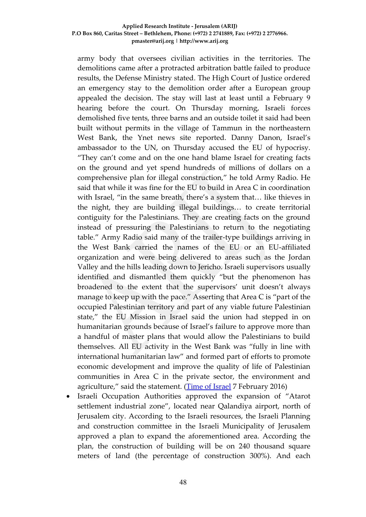army body that oversees civilian activities in the territories. The demolitions came after a protracted arbitration battle failed to produce results, the Defense Ministry stated. The High Court of Justice ordered an emergency stay to the demolition order after a European group appealed the decision. The stay will last at least until a February 9 hearing before the court. On Thursday morning, Israeli forces demolished five tents, three barns and an outside toilet it said had been built without permits in the village of Tammun in the northeastern West Bank, the Ynet news site reported. Danny Danon, Israel's ambassador to the UN, on Thursday accused the EU of hypocrisy. "They can't come and on the one hand blame Israel for creating facts on the ground and yet spend hundreds of millions of dollars on a comprehensive plan for illegal construction," he told Army Radio. He said that while it was fine for the EU to build in Area C in coordination with Israel, "in the same breath, there's a system that… like thieves in the night, they are building illegal buildings… to create territorial contiguity for the Palestinians. They are creating facts on the ground instead of pressuring the Palestinians to return to the negotiating table." Army Radio said many of the trailer-type buildings arriving in the West Bank carried the names of the EU or an EU-affiliated organization and were being delivered to areas such as the Jordan Valley and the hills leading down to Jericho. Israeli supervisors usually identified and dismantled them quickly "but the phenomenon has broadened to the extent that the supervisors' unit doesn't always manage to keep up with the pace." Asserting that Area C is "part of the occupied Palestinian territory and part of any viable future Palestinian state," the EU Mission in Israel said the union had stepped in on humanitarian grounds because of Israel's failure to approve more than a handful of master plans that would allow the Palestinians to build themselves. All EU activity in the West Bank was "fully in line with international humanitarian law" and formed part of efforts to promote economic development and improve the quality of life of Palestinian communities in Area C in the private sector, the environment and agriculture," said the statement. [\(Time of Israel](http://www.timesofisrael.com/eu-calls-on-israel-to-halt-demolition-of-palestinian-housing/) 7 February 2016)

 Israeli Occupation Authorities approved the expansion of "Atarot settlement industrial zone", located near Qalandiya airport, north of Jerusalem city. According to the Israeli resources, the Israeli Planning and construction committee in the Israeli Municipality of Jerusalem approved a plan to expand the aforementioned area. According the plan, the construction of building will be on 240 thousand square meters of land (the percentage of construction 300%). And each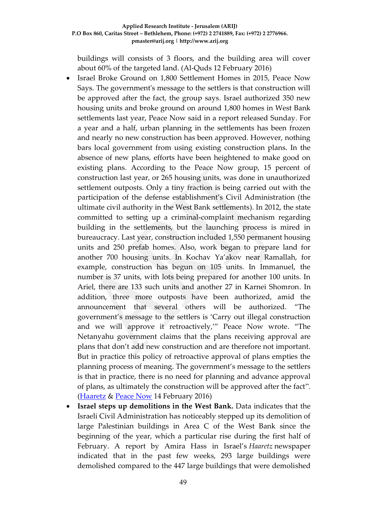buildings will consists of 3 floors, and the building area will cover about 60% of the targeted land. (Al-Quds 12 February 2016)

- Israel Broke Ground on 1,800 Settlement Homes in 2015, Peace Now Says. The government's message to the settlers is that construction will be approved after the fact, the group says. Israel authorized 350 new housing units and broke ground on around 1,800 homes in West Bank settlements last year, Peace Now said in a report released Sunday. For a year and a half, urban planning in the settlements has been frozen and nearly no new construction has been approved. However, nothing bars local government from using existing construction plans. In the absence of new plans, efforts have been heightened to make good on existing plans. According to the Peace Now group, 15 percent of construction last year, or 265 housing units, was done in unauthorized settlement outposts. Only a tiny fraction is being carried out with the participation of the defense establishment's Civil Administration (the ultimate civil authority in the West Bank settlements). In 2012, the state committed to setting up a criminal-complaint mechanism regarding building in the settlements, but the launching process is mired in bureaucracy. Last year, construction included 1,550 permanent housing units and 250 prefab homes. Also, work began to prepare land for another 700 housing units. In Kochav Ya'akov near Ramallah, for example, construction has begun on 105 units. In Immanuel, the number is 37 units, with lots being prepared for another 100 units. In Ariel, there are 133 such units and another 27 in Karnei Shomron. In addition, three more outposts have been authorized, amid the announcement that several others will be authorized. "The government's message to the settlers is 'Carry out illegal construction and we will approve it retroactively,'" Peace Now wrote. "The Netanyahu government claims that the plans receiving approval are plans that don't add new construction and are therefore not important. But in practice this policy of retroactive approval of plans empties the planning process of meaning. The government's message to the settlers is that in practice, there is no need for planning and advance approval of plans, as ultimately the construction will be approved after the fact". [\(Haaretz](http://www.haaretz.com/israel-news/.premium-1.703086) & [Peace Now](http://peacenow.org.il/eng/2015Report) 14 February 2016)
- **Israel steps up demolitions in the West Bank.** Data indicates that the Israeli Civil Administration has noticeably stepped up its demolition of large Palestinian buildings in Area C of the West Bank since the beginning of the year, which a particular rise during the first half of February. A report by Amira Hass in Israel's *Haaretz* newspaper indicated that in the past few weeks, 293 large buildings were demolished compared to the 447 large buildings that were demolished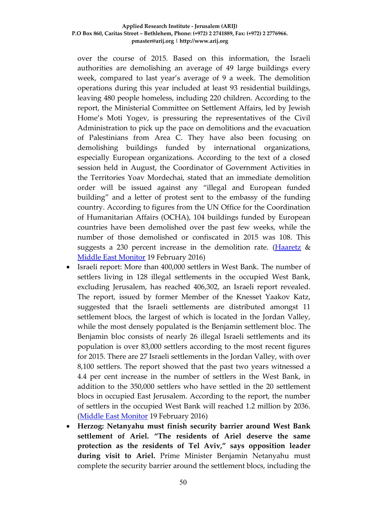over the course of 2015. Based on this information, the Israeli authorities are demolishing an average of 49 large buildings every week, compared to last year's average of 9 a week. The demolition operations during this year included at least 93 residential buildings, leaving 480 people homeless, including 220 children. According to the report, the Ministerial Committee on Settlement Affairs, led by Jewish Home's Moti Yogev, is pressuring the representatives of the Civil Administration to pick up the pace on demolitions and the evacuation of Palestinians from Area C. They have also been focusing on demolishing buildings funded by international organizations, especially European organizations. According to the text of a closed session held in August, the Coordinator of Government Activities in the Territories Yoav Mordechai, stated that an immediate demolition order will be issued against any "illegal and European funded building" and a letter of protest sent to the embassy of the funding country. According to figures from the UN Office for the Coordination of Humanitarian Affairs (OCHA), 104 buildings funded by European countries have been demolished over the past few weeks, while the number of those demolished or confiscated in 2015 was 108. This suggests a 230 percent increase in the demolition rate. [\(Haaretz](http://www.haaretz.co.il/news/politics/.premium-1.2856157) & [Middle East Monitor](https://www.middleeastmonitor.com/news/middle-east/24029-israel-steps-up-demolitions-in-the-west-bank) 19 February 2016)

- Israeli report: More than 400,000 settlers in West Bank. The number of settlers living in 128 illegal settlements in the occupied West Bank, excluding Jerusalem, has reached 406,302, an Israeli report revealed. The report, issued by former Member of the Knesset Yaakov Katz, suggested that the Israeli settlements are distributed amongst 11 settlement blocs, the largest of which is located in the Jordan Valley, while the most densely populated is the Benjamin settlement bloc. The Benjamin bloc consists of nearly 26 illegal Israeli settlements and its population is over 83,000 settlers according to the most recent figures for 2015. There are 27 Israeli settlements in the Jordan Valley, with over 8,100 settlers. The report showed that the past two years witnessed a 4.4 per cent increase in the number of settlers in the West Bank, in addition to the 350,000 settlers who have settled in the 20 settlement blocs in occupied East Jerusalem. According to the report, the number of settlers in the occupied West Bank will reached 1.2 million by 2036. [\(Middle East Monitor](https://www.middleeastmonitor.com/news/middle-east/24032-israeli-report-more-than-400000-settlers-in-west-bank) 19 February 2016)
- **Herzog: Netanyahu must finish security barrier around West Bank settlement of Ariel. "The residents of Ariel deserve the same protection as the residents of Tel Aviv," says opposition leader during visit to Ariel.** Prime Minister Benjamin Netanyahu must complete the security barrier around the settlement blocs, including the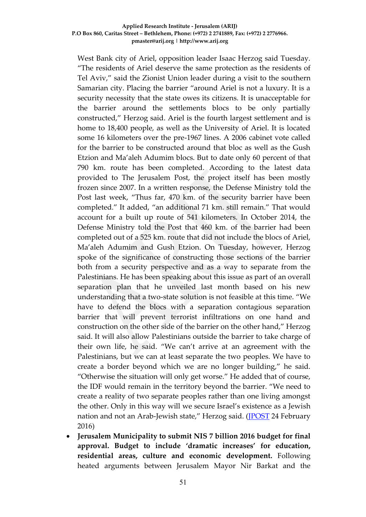West Bank city of Ariel, opposition leader Isaac Herzog said Tuesday. "The residents of Ariel deserve the same protection as the residents of Tel Aviv," said the Zionist Union leader during a visit to the southern Samarian city. Placing the barrier "around Ariel is not a luxury. It is a security necessity that the state owes its citizens. It is unacceptable for the barrier around the settlements blocs to be only partially constructed," Herzog said. Ariel is the fourth largest settlement and is home to 18,400 people, as well as the University of Ariel. It is located some 16 kilometers over the pre-1967 lines. A 2006 cabinet vote called for the barrier to be constructed around that bloc as well as the Gush Etzion and Ma'aleh Adumim blocs. But to date only 60 percent of that 790 km. route has been completed. According to the latest data provided to The Jerusalem Post, the project itself has been mostly frozen since 2007. In a written response, the Defense Ministry told the Post last week, "Thus far, 470 km. of the security barrier have been completed." It added, "an additional 71 km. still remain." That would account for a built up route of 541 kilometers. In October 2014, the Defense Ministry told the Post that 460 km. of the barrier had been completed out of a 525 km. route that did not include the blocs of Ariel, Ma'aleh Adumim and Gush Etzion. On Tuesday, however, Herzog spoke of the significance of constructing those sections of the barrier both from a security perspective and as a way to separate from the Palestinians. He has been speaking about this issue as part of an overall separation plan that he unveiled last month based on his new understanding that a two-state solution is not feasible at this time. "We have to defend the blocs with a separation contagious separation barrier that will prevent terrorist infiltrations on one hand and construction on the other side of the barrier on the other hand," Herzog said. It will also allow Palestinians outside the barrier to take charge of their own life, he said. "We can't arrive at an agreement with the Palestinians, but we can at least separate the two peoples. We have to create a border beyond which we are no longer building," he said. "Otherwise the situation will only get worse." He added that of course, the IDF would remain in the territory beyond the barrier. "We need to create a reality of two separate peoples rather than one living amongst the other. Only in this way will we secure Israel's existence as a Jewish nation and not an Arab-Jewish state," Herzog said. [\(JPOST](http://www.jpost.com/Arab-Israeli-Conflict/Herzog-Netanyahu-must-complete-West-Bank-security-barrier-build-in-settlement-blocs-445880) 24 February 2016)

 **Jerusalem Municipality to submit NIS 7 billion 2016 budget for final approval. Budget to include 'dramatic increases' for education, residential areas, culture and economic development.** Following heated arguments between Jerusalem Mayor Nir Barkat and the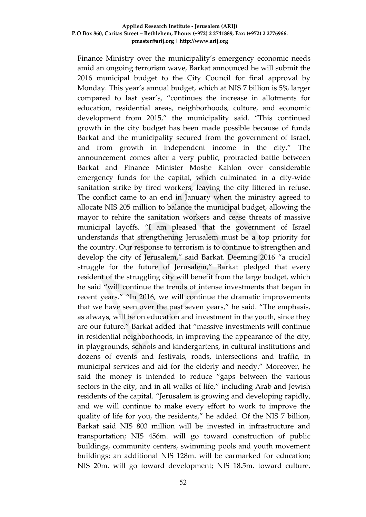Finance Ministry over the municipality's emergency economic needs amid an ongoing terrorism wave, Barkat announced he will submit the 2016 municipal budget to the City Council for final approval by Monday. This year's annual budget, which at NIS 7 billion is 5% larger compared to last year's, "continues the increase in allotments for education, residential areas, neighborhoods, culture, and economic development from 2015," the municipality said. "This continued growth in the city budget has been made possible because of funds Barkat and the municipality secured from the government of Israel, and from growth in independent income in the city." The announcement comes after a very public, protracted battle between Barkat and Finance Minister Moshe Kahlon over considerable emergency funds for the capital, which culminated in a city-wide sanitation strike by fired workers, leaving the city littered in refuse. The conflict came to an end in January when the ministry agreed to allocate NIS 205 million to balance the municipal budget, allowing the mayor to rehire the sanitation workers and cease threats of massive municipal layoffs. "I am pleased that the government of Israel understands that strengthening Jerusalem must be a top priority for the country. Our response to terrorism is to continue to strengthen and develop the city of Jerusalem," said Barkat. Deeming 2016 "a crucial struggle for the future of Jerusalem," Barkat pledged that every resident of the struggling city will benefit from the large budget, which he said "will continue the trends of intense investments that began in recent years." "In 2016, we will continue the dramatic improvements that we have seen over the past seven years," he said. "The emphasis, as always, will be on education and investment in the youth, since they are our future." Barkat added that "massive investments will continue in residential neighborhoods, in improving the appearance of the city, in playgrounds, schools and kindergartens, in cultural institutions and dozens of events and festivals, roads, intersections and traffic, in municipal services and aid for the elderly and needy." Moreover, he said the money is intended to reduce "gaps between the various sectors in the city, and in all walks of life," including Arab and Jewish residents of the capital. "Jerusalem is growing and developing rapidly, and we will continue to make every effort to work to improve the quality of life for you, the residents," he added. Of the NIS 7 billion, Barkat said NIS 803 million will be invested in infrastructure and transportation; NIS 456m. will go toward construction of public buildings, community centers, swimming pools and youth movement buildings; an additional NIS 128m. will be earmarked for education; NIS 20m. will go toward development; NIS 18.5m. toward culture,